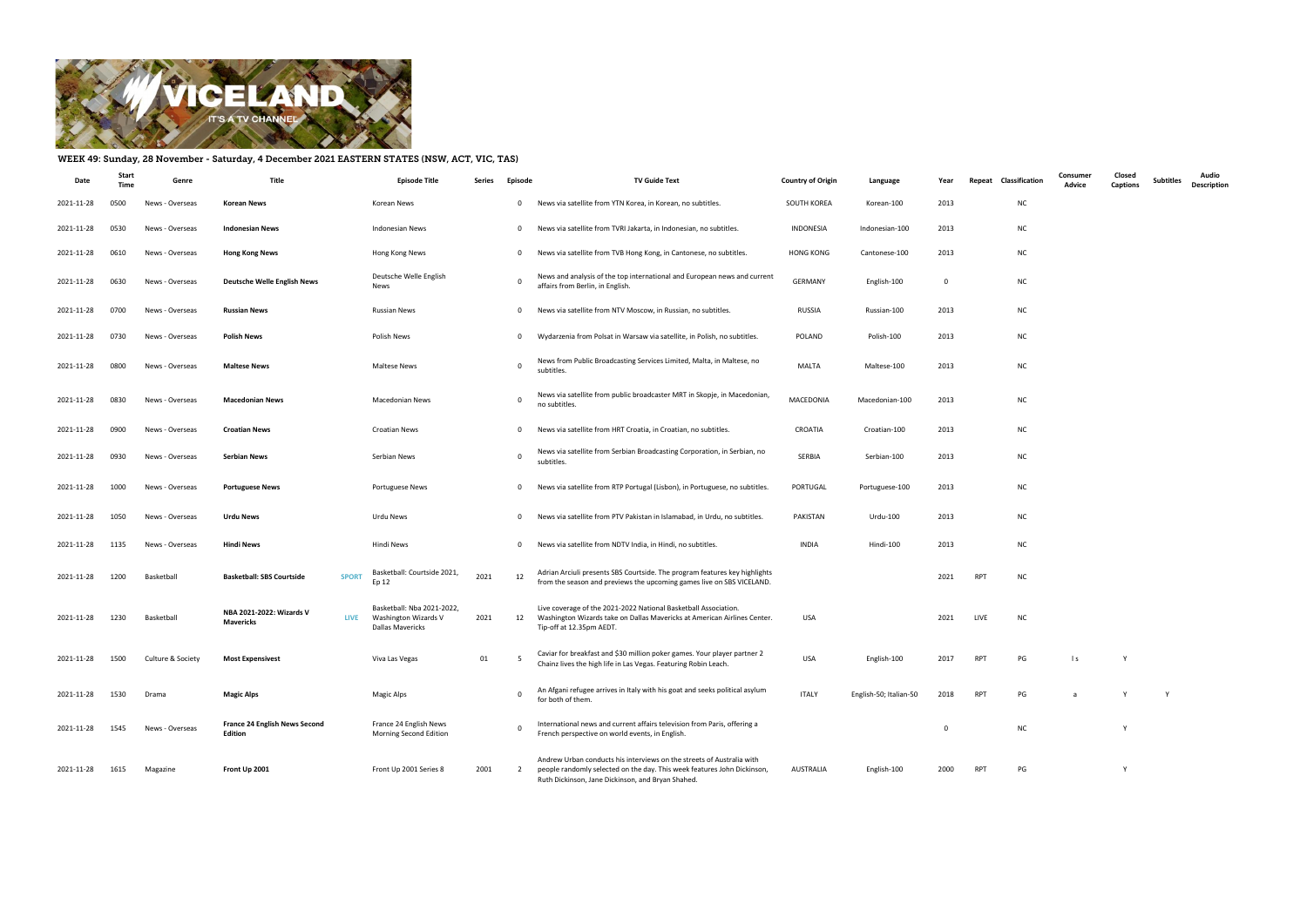

## WEEK 49: Sunday, 28 November - Saturday, 4 December 2021 EASTERN STATES (NSW, ACT, VIC, TAS)

| Date       | <b>Start</b><br>Time | Genre             | Title                                                | Episode Title                                                          | Series | Episode      | <b>TV Guide Text</b>                                                                                                                                                                                  | <b>Country of Origin</b> | Language               | Year           | Repeat     | Classification | Consumer<br>Advice | Closed<br>Captions | <b>Subtitles</b> | Audio<br><b>Description</b> |
|------------|----------------------|-------------------|------------------------------------------------------|------------------------------------------------------------------------|--------|--------------|-------------------------------------------------------------------------------------------------------------------------------------------------------------------------------------------------------|--------------------------|------------------------|----------------|------------|----------------|--------------------|--------------------|------------------|-----------------------------|
| 2021-11-28 | 0500                 | News - Overseas   | Korean News                                          | Korean News                                                            |        | $\mathbf 0$  | News via satellite from YTN Korea, in Korean, no subtitles.                                                                                                                                           | SOUTH KOREA              | Korean-100             | 2013           |            | <b>NC</b>      |                    |                    |                  |                             |
| 2021-11-28 | 0530                 | News - Overseas   | <b>Indonesian News</b>                               | Indonesian News                                                        |        | $\mathbf{0}$ | News via satellite from TVRI Jakarta, in Indonesian, no subtitles.                                                                                                                                    | INDONESIA                | Indonesian-100         | 2013           |            | <b>NC</b>      |                    |                    |                  |                             |
| 2021-11-28 | 0610                 | News - Overseas   | <b>Hong Kong News</b>                                | Hong Kong News                                                         |        | $\mathbf{0}$ | News via satellite from TVB Hong Kong, in Cantonese, no subtitles.                                                                                                                                    | <b>HONG KONG</b>         | Cantonese-100          | 2013           |            | <b>NC</b>      |                    |                    |                  |                             |
| 2021-11-28 | 0630                 | News - Overseas   | <b>Deutsche Welle English News</b>                   | Deutsche Welle English<br>News                                         |        | $\Omega$     | News and analysis of the top international and European news and current<br>affairs from Berlin, in English.                                                                                          | <b>GERMANY</b>           | English-100            | $\overline{0}$ |            | <b>NC</b>      |                    |                    |                  |                             |
| 2021-11-28 | 0700                 | News - Overseas   | <b>Russian News</b>                                  | <b>Russian News</b>                                                    |        | $\mathbf{0}$ | News via satellite from NTV Moscow, in Russian, no subtitles.                                                                                                                                         | RUSSIA                   | Russian-100            | 2013           |            | <b>NC</b>      |                    |                    |                  |                             |
| 2021-11-28 | 0730                 | News - Overseas   | <b>Polish News</b>                                   | Polish News                                                            |        | $\mathbf{0}$ | Wydarzenia from Polsat in Warsaw via satellite, in Polish, no subtitles.                                                                                                                              | POLAND                   | Polish-100             | 2013           |            | <b>NC</b>      |                    |                    |                  |                             |
| 2021-11-28 | 0800                 | News - Overseas   | <b>Maltese News</b>                                  | Maltese News                                                           |        | 0            | News from Public Broadcasting Services Limited, Malta, in Maltese, no<br>subtitles.                                                                                                                   | MALTA                    | Maltese-100            | 2013           |            | <b>NC</b>      |                    |                    |                  |                             |
| 2021-11-28 | 0830                 | News - Overseas   | <b>Macedonian News</b>                               | <b>Macedonian News</b>                                                 |        | $\Omega$     | News via satellite from public broadcaster MRT in Skopje, in Macedonian,<br>no subtitles.                                                                                                             | MACEDONIA                | Macedonian-100         | 2013           |            | <b>NC</b>      |                    |                    |                  |                             |
| 2021-11-28 | 0900                 | News - Overseas   | <b>Croatian News</b>                                 | <b>Croatian News</b>                                                   |        | $\mathbf{0}$ | News via satellite from HRT Croatia, in Croatian, no subtitles.                                                                                                                                       | CROATIA                  | Croatian-100           | 2013           |            | <b>NC</b>      |                    |                    |                  |                             |
| 2021-11-28 | 0930                 | News - Overseas   | <b>Serbian News</b>                                  | Serbian News                                                           |        | $\Omega$     | News via satellite from Serbian Broadcasting Corporation, in Serbian, no<br>subtitles.                                                                                                                | SERBIA                   | Serbian-100            | 2013           |            | <b>NC</b>      |                    |                    |                  |                             |
| 2021-11-28 | 1000                 | News - Overseas   | <b>Portuguese News</b>                               | Portuguese News                                                        |        | $\mathbf{0}$ | News via satellite from RTP Portugal (Lisbon), in Portuguese, no subtitles.                                                                                                                           | PORTUGAL                 | Portuguese-100         | 2013           |            | <b>NC</b>      |                    |                    |                  |                             |
| 2021-11-28 | 1050                 | News - Overseas   | <b>Urdu News</b>                                     | Urdu News                                                              |        | $\mathbf{0}$ | News via satellite from PTV Pakistan in Islamabad, in Urdu, no subtitles.                                                                                                                             | PAKISTAN                 | Urdu-100               | 2013           |            | <b>NC</b>      |                    |                    |                  |                             |
| 2021-11-28 | 1135                 | News - Overseas   | <b>Hindi News</b>                                    | Hindi News                                                             |        | $\mathbf 0$  | News via satellite from NDTV India, in Hindi, no subtitles.                                                                                                                                           | INDIA                    | Hindi-100              | 2013           |            | <b>NC</b>      |                    |                    |                  |                             |
| 2021-11-28 | 1200                 | Basketball        | <b>Basketball: SBS Courtside</b><br><b>SPORT</b>     | Basketball: Courtside 2021,<br>Ep 12                                   | 2021   | 12           | Adrian Arciuli presents SBS Courtside. The program features key highlights<br>from the season and previews the upcoming games live on SBS VICELAND.                                                   |                          |                        | 2021           | <b>RPT</b> | <b>NC</b>      |                    |                    |                  |                             |
| 2021-11-28 | 1230                 | Basketball        | NBA 2021-2022: Wizards V<br><b>LIVE</b><br>Mavericks | Basketball: Nba 2021-2022,<br>Washington Wizards V<br>Dallas Mavericks | 2021   | 12           | Live coverage of the 2021-2022 National Basketball Association.<br>Washington Wizards take on Dallas Mavericks at American Airlines Center.<br>Tip-off at 12.35pm AEDT.                               | <b>USA</b>               |                        | 2021           | LIVE       | <b>NC</b>      |                    |                    |                  |                             |
| 2021-11-28 | 1500                 | Culture & Society | <b>Most Expensivest</b>                              | Viva Las Vegas                                                         | 01     | - 5          | Caviar for breakfast and \$30 million poker games. Your player partner 2<br>Chainz lives the high life in Las Vegas. Featuring Robin Leach.                                                           | <b>USA</b>               | English-100            | 2017           | RPT        | PG             | $\vert$ s          | Y                  |                  |                             |
| 2021-11-28 | 1530                 | Drama             | <b>Magic Alps</b>                                    | <b>Magic Alps</b>                                                      |        | $\Omega$     | An Afgani refugee arrives in Italy with his goat and seeks political asylum<br>for both of them.                                                                                                      | <b>ITALY</b>             | English-50; Italian-50 | 2018           | RPT        | PG             | a                  |                    | Y                |                             |
| 2021-11-28 | 1545                 | News - Overseas   | <b>France 24 English News Second</b><br>Edition      | France 24 English News<br>Morning Second Edition                       |        |              | International news and current affairs television from Paris, offering a<br>French perspective on world events, in English.                                                                           |                          |                        | 0              |            | <b>NC</b>      |                    |                    |                  |                             |
| 2021-11-28 | 1615                 | Magazine          | Front Up 2001                                        | Front Up 2001 Series 8                                                 | 2001   | 2            | Andrew Urban conducts his interviews on the streets of Australia with<br>people randomly selected on the day. This week features John Dickinson,<br>Ruth Dickinson, Jane Dickinson, and Bryan Shahed. | AUSTRALIA                | English-100            | 2000           | RPT        | PG             |                    |                    |                  |                             |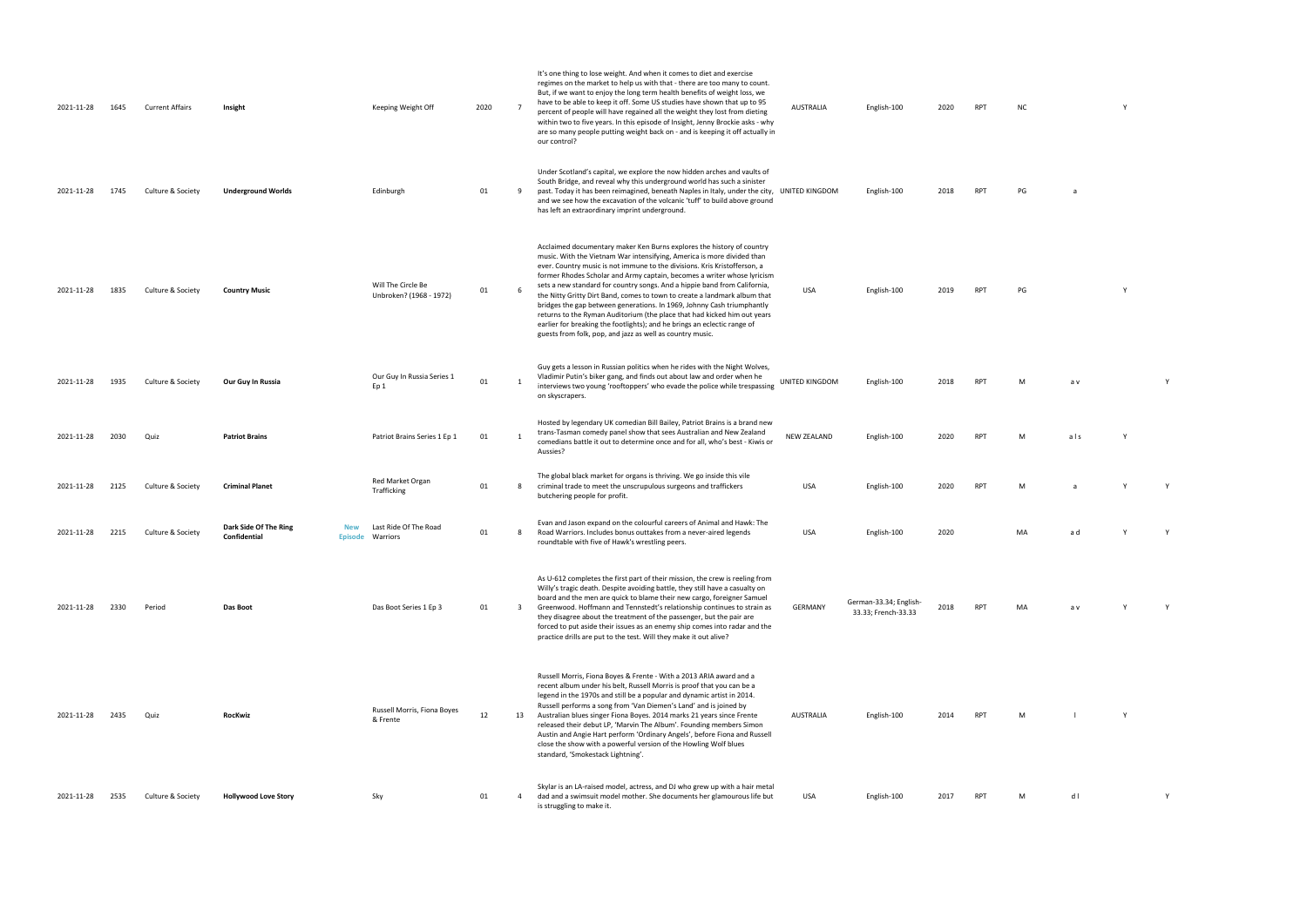UNITED KINGDOM English-100 2018 RPT M a v Y 2020 RPT M als Y

2020 RPT M a Y Y

USA English-100 2020 MA a d Y Y 2018 RPT MA av Y Y

2014 RPT M l Y

2017 RPT M d l Y

| 2021-11-28 | 1645 | <b>Current Affairs</b> | Insight                                                               | Keeping Weight Off                            | 2020 | $\overline{7}$          | It's one thing to lose weight. And when it comes to diet and exercise<br>regimes on the market to help us with that - there are too many to count.<br>But, if we want to enjoy the long term health benefits of weight loss, we<br>have to be able to keep it off. Some US studies have shown that up to 95<br>percent of people will have regained all the weight they lost from dieting<br>within two to five years. In this episode of Insight, Jenny Brockie asks - why<br>are so many people putting weight back on - and is keeping it off actually in<br>our control?                                                                                                                                                                                     | AUSTRALIA          | English-100                                   | 2020 | RPT        | <b>NC</b> |     |
|------------|------|------------------------|-----------------------------------------------------------------------|-----------------------------------------------|------|-------------------------|------------------------------------------------------------------------------------------------------------------------------------------------------------------------------------------------------------------------------------------------------------------------------------------------------------------------------------------------------------------------------------------------------------------------------------------------------------------------------------------------------------------------------------------------------------------------------------------------------------------------------------------------------------------------------------------------------------------------------------------------------------------|--------------------|-----------------------------------------------|------|------------|-----------|-----|
| 2021-11-28 | 1745 | Culture & Society      | <b>Underground Worlds</b>                                             | Edinburgh                                     | 01   | 9                       | Under Scotland's capital, we explore the now hidden arches and vaults of<br>South Bridge, and reveal why this underground world has such a sinister<br>past. Today it has been reimagined, beneath Naples in Italy, under the city, UNITED KINGDOM<br>and we see how the excavation of the volcanic 'tuff' to build above ground<br>has left an extraordinary imprint underground.                                                                                                                                                                                                                                                                                                                                                                               |                    | English-100                                   | 2018 | <b>RPT</b> | PG        |     |
| 2021-11-28 | 1835 | Culture & Society      | <b>Country Music</b>                                                  | Will The Circle Be<br>Unbroken? (1968 - 1972) | 01   | - 6                     | Acclaimed documentary maker Ken Burns explores the history of country<br>music. With the Vietnam War intensifying, America is more divided than<br>ever. Country music is not immune to the divisions. Kris Kristofferson, a<br>former Rhodes Scholar and Army captain, becomes a writer whose lyricism<br>sets a new standard for country songs. And a hippie band from California,<br>the Nitty Gritty Dirt Band, comes to town to create a landmark album that<br>bridges the gap between generations. In 1969, Johnny Cash triumphantly<br>returns to the Ryman Auditorium (the place that had kicked him out years<br>earlier for breaking the footlights); and he brings an eclectic range of<br>guests from folk, pop, and jazz as well as country music. | <b>USA</b>         | English-100                                   | 2019 | RPT        | PG        |     |
| 2021-11-28 | 1935 | Culture & Society      | Our Guy In Russia                                                     | Our Guy In Russia Series 1<br>Ep <sub>1</sub> | 01   | 1                       | Guy gets a lesson in Russian politics when he rides with the Night Wolves,<br>Vladimir Putin's biker gang, and finds out about law and order when he<br>interviews two young 'rooftoppers' who evade the police while trespassing<br>on skyscrapers.                                                                                                                                                                                                                                                                                                                                                                                                                                                                                                             | UNITED KINGDOM     | English-100                                   | 2018 | <b>RPT</b> | M         | a v |
| 2021-11-28 | 2030 | Quiz                   | <b>Patriot Brains</b>                                                 | Patriot Brains Series 1 Ep 1                  | 01   | $\overline{1}$          | Hosted by legendary UK comedian Bill Bailey, Patriot Brains is a brand new<br>trans-Tasman comedy panel show that sees Australian and New Zealand<br>comedians battle it out to determine once and for all, who's best - Kiwis or<br>Aussies?                                                                                                                                                                                                                                                                                                                                                                                                                                                                                                                    | <b>NEW ZEALAND</b> | English-100                                   | 2020 | RPT        | M         | als |
| 2021-11-28 | 2125 | Culture & Society      | <b>Criminal Planet</b>                                                | Red Market Organ<br>Trafficking               | 01   | - 8                     | The global black market for organs is thriving. We go inside this vile<br>criminal trade to meet the unscrupulous surgeons and traffickers<br>butchering people for profit.                                                                                                                                                                                                                                                                                                                                                                                                                                                                                                                                                                                      | USA                | English-100                                   | 2020 | RPT        | M         | a   |
| 2021-11-28 | 2215 | Culture & Society      | Dark Side Of The Ring<br><b>New</b><br>Confidential<br><b>Episode</b> | Last Ride Of The Road<br>Warriors             | 01   | - 8                     | Evan and Jason expand on the colourful careers of Animal and Hawk: The<br>Road Warriors. Includes bonus outtakes from a never-aired legends<br>roundtable with five of Hawk's wrestling peers.                                                                                                                                                                                                                                                                                                                                                                                                                                                                                                                                                                   | USA                | English-100                                   | 2020 |            | MA        | a d |
| 2021-11-28 | 2330 | Period                 | Das Boot                                                              | Das Boot Series 1 Ep 3                        | 01   | $\overline{\mathbf{3}}$ | As U-612 completes the first part of their mission, the crew is reeling from<br>Willy's tragic death. Despite avoiding battle, they still have a casualty on<br>board and the men are quick to blame their new cargo, foreigner Samuel<br>Greenwood. Hoffmann and Tennstedt's relationship continues to strain as<br>they disagree about the treatment of the passenger, but the pair are<br>forced to put aside their issues as an enemy ship comes into radar and the<br>practice drills are put to the test. Will they make it out alive?                                                                                                                                                                                                                     | GERMANY            | German-33.34; English-<br>33.33; French-33.33 | 2018 | <b>RPT</b> | MA        | a v |
| 2021-11-28 | 2435 | Quiz                   | <b>RocKwiz</b>                                                        | Russell Morris, Fiona Boyes<br>& Frente       | 12   | 13                      | Russell Morris, Fiona Boyes & Frente - With a 2013 ARIA award and a<br>recent album under his belt, Russell Morris is proof that you can be a<br>legend in the 1970s and still be a popular and dynamic artist in 2014.<br>Russell performs a song from 'Van Diemen's Land' and is joined by<br>Australian blues singer Fiona Boyes. 2014 marks 21 years since Frente<br>released their debut LP, 'Marvin The Album'. Founding members Simon<br>Austin and Angie Hart perform 'Ordinary Angels', before Fiona and Russell<br>close the show with a powerful version of the Howling Wolf blues<br>standard, 'Smokestack Lightning'.                                                                                                                               | AUSTRALIA          | English-100                                   | 2014 | <b>RPT</b> | M         |     |
| 2021-11-28 | 2535 | Culture & Society      | <b>Hollywood Love Story</b>                                           | Sky                                           | 01   | $\overline{a}$          | Skylar is an LA-raised model, actress, and DJ who grew up with a hair metal<br>dad and a swimsuit model mother. She documents her glamourous life but<br>is struggling to make it.                                                                                                                                                                                                                                                                                                                                                                                                                                                                                                                                                                               | USA                | English-100                                   | 2017 | RPT        | M         | dl  |

| <b>NC</b> | Υ |
|-----------|---|
|           |   |
|           |   |

2018 RPT PG a

PO 2019 RPT PG Y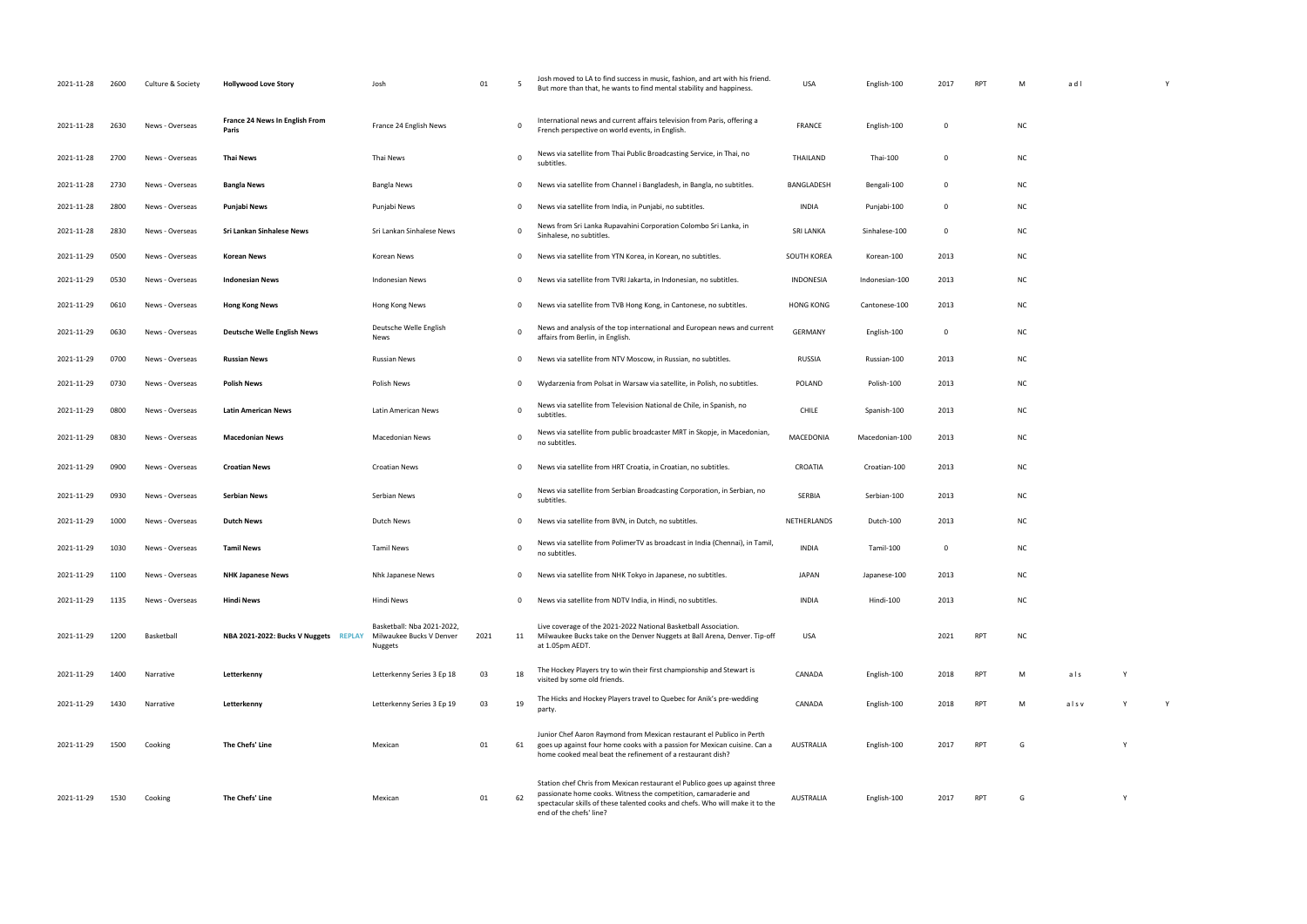| 2021-11-28 | 2600 | Culture & Society | <b>Hollywood Love Story</b>                    | Josh                                                              | 01   | - 5            | Josh moved to LA to find success in music, fashion, and art with his friend.<br>But more than that, he wants to find mental stability and happiness.                                                                                                       | <b>USA</b>       | English-100    | 2017     | <b>RPT</b> | M         | adl  |   |   |
|------------|------|-------------------|------------------------------------------------|-------------------------------------------------------------------|------|----------------|------------------------------------------------------------------------------------------------------------------------------------------------------------------------------------------------------------------------------------------------------------|------------------|----------------|----------|------------|-----------|------|---|---|
| 2021-11-28 | 2630 | News - Overseas   | <b>France 24 News In English From</b><br>Paris | France 24 English News                                            |      | 0              | International news and current affairs television from Paris, offering a<br>French perspective on world events, in English.                                                                                                                                | FRANCE           | English-100    | $\Omega$ |            | <b>NC</b> |      |   |   |
| 2021-11-28 | 2700 | News - Overseas   | <b>Thai News</b>                               | Thai News                                                         |      | $\mathbf 0$    | News via satellite from Thai Public Broadcasting Service, in Thai, no<br>subtitles.                                                                                                                                                                        | THAILAND         | Thai-100       | $\Omega$ |            | <b>NC</b> |      |   |   |
| 2021-11-28 | 2730 | News - Overseas   | <b>Bangla News</b>                             | Bangla News                                                       |      | 0              | News via satellite from Channel i Bangladesh, in Bangla, no subtitles.                                                                                                                                                                                     | BANGLADESH       | Bengali-100    | 0        |            | <b>NC</b> |      |   |   |
| 2021-11-28 | 2800 | News - Overseas   | Punjabi News                                   | Punjabi News                                                      |      | 0              | News via satellite from India, in Punjabi, no subtitles.                                                                                                                                                                                                   | INDIA            | Punjabi-100    | $\Omega$ |            | <b>NC</b> |      |   |   |
| 2021-11-28 | 2830 | News - Overseas   | Sri Lankan Sinhalese News                      | Sri Lankan Sinhalese News                                         |      | 0              | News from Sri Lanka Rupavahini Corporation Colombo Sri Lanka, in<br>Sinhalese, no subtitles.                                                                                                                                                               | SRI LANKA        | Sinhalese-100  | $\Omega$ |            | <b>NC</b> |      |   |   |
| 2021-11-29 | 0500 | News - Overseas   | <b>Korean News</b>                             | Korean News                                                       |      | 0              | News via satellite from YTN Korea, in Korean, no subtitles.                                                                                                                                                                                                | SOUTH KOREA      | Korean-100     | 2013     |            | <b>NC</b> |      |   |   |
| 2021-11-29 | 0530 | News - Overseas   | <b>Indonesian News</b>                         | Indonesian News                                                   |      | 0              | News via satellite from TVRI Jakarta, in Indonesian, no subtitles.                                                                                                                                                                                         | INDONESIA        | Indonesian-100 | 2013     |            | <b>NC</b> |      |   |   |
| 2021-11-29 | 0610 | News - Overseas   | <b>Hong Kong News</b>                          | Hong Kong News                                                    |      | 0              | News via satellite from TVB Hong Kong, in Cantonese, no subtitles.                                                                                                                                                                                         | <b>HONG KONG</b> | Cantonese-100  | 2013     |            | <b>NC</b> |      |   |   |
| 2021-11-29 | 0630 | News - Overseas   | <b>Deutsche Welle English News</b>             | Deutsche Welle English<br>News                                    |      | $\overline{0}$ | News and analysis of the top international and European news and current<br>affairs from Berlin, in English.                                                                                                                                               | <b>GERMANY</b>   | English-100    | 0        |            | <b>NC</b> |      |   |   |
| 2021-11-29 | 0700 | News - Overseas   | <b>Russian News</b>                            | <b>Russian News</b>                                               |      | 0              | News via satellite from NTV Moscow, in Russian, no subtitles.                                                                                                                                                                                              | <b>RUSSIA</b>    | Russian-100    | 2013     |            | <b>NC</b> |      |   |   |
| 2021-11-29 | 0730 | News - Overseas   | <b>Polish News</b>                             | Polish News                                                       |      | 0              | Wydarzenia from Polsat in Warsaw via satellite, in Polish, no subtitles.                                                                                                                                                                                   | POLAND           | Polish-100     | 2013     |            | <b>NC</b> |      |   |   |
| 2021-11-29 | 0800 | News - Overseas   | <b>Latin American News</b>                     | Latin American News                                               |      | 0              | News via satellite from Television National de Chile, in Spanish, no<br>subtitles.                                                                                                                                                                         | <b>CHILE</b>     | Spanish-100    | 2013     |            | <b>NC</b> |      |   |   |
| 2021-11-29 | 0830 | News - Overseas   | <b>Macedonian News</b>                         | <b>Macedonian News</b>                                            |      | 0              | News via satellite from public broadcaster MRT in Skopje, in Macedonian,<br>no subtitles.                                                                                                                                                                  | MACEDONIA        | Macedonian-100 | 2013     |            | <b>NC</b> |      |   |   |
| 2021-11-29 | 0900 | News - Overseas   | <b>Croatian News</b>                           | Croatian News                                                     |      | 0              | News via satellite from HRT Croatia, in Croatian, no subtitles.                                                                                                                                                                                            | CROATIA          | Croatian-100   | 2013     |            | <b>NC</b> |      |   |   |
| 2021-11-29 | 0930 | News - Overseas   | <b>Serbian News</b>                            | Serbian News                                                      |      | $\mathbf 0$    | News via satellite from Serbian Broadcasting Corporation, in Serbian, no<br>subtitles.                                                                                                                                                                     | SERBIA           | Serbian-100    | 2013     |            | <b>NC</b> |      |   |   |
| 2021-11-29 | 1000 | News - Overseas   | <b>Dutch News</b>                              | Dutch News                                                        |      | 0              | News via satellite from BVN, in Dutch, no subtitles.                                                                                                                                                                                                       | NETHERLANDS      | Dutch-100      | 2013     |            | <b>NC</b> |      |   |   |
| 2021-11-29 | 1030 | News - Overseas   | Tamil News                                     | <b>Tamil News</b>                                                 |      | $\mathbf 0$    | News via satellite from PolimerTV as broadcast in India (Chennai), in Tamil,<br>no subtitles.                                                                                                                                                              | <b>INDIA</b>     | Tamil-100      | 0        |            | <b>NC</b> |      |   |   |
| 2021-11-29 | 1100 | News - Overseas   | <b>NHK Japanese News</b>                       | Nhk Japanese News                                                 |      | 0              | News via satellite from NHK Tokyo in Japanese, no subtitles.                                                                                                                                                                                               | <b>JAPAN</b>     | Japanese-100   | 2013     |            | <b>NC</b> |      |   |   |
| 2021-11-29 | 1135 | News - Overseas   | <b>Hindi News</b>                              | Hindi News                                                        |      | 0              | News via satellite from NDTV India, in Hindi, no subtitles.                                                                                                                                                                                                | INDIA            | Hindi-100      | 2013     |            | <b>NC</b> |      |   |   |
| 2021-11-29 | 1200 | Basketball        | NBA 2021-2022: Bucks V Nuggets REPLAY          | Basketball: Nba 2021-2022,<br>Milwaukee Bucks V Denver<br>Nuggets | 2021 | 11             | Live coverage of the 2021-2022 National Basketball Association.<br>Milwaukee Bucks take on the Denver Nuggets at Ball Arena, Denver. Tip-off<br>at 1.05pm AEDT.                                                                                            | USA              |                | 2021     | <b>RPT</b> | <b>NC</b> |      |   |   |
| 2021-11-29 | 1400 | Narrative         | Letterkenny                                    | Letterkenny Series 3 Ep 18                                        | 03   | 18             | The Hockey Players try to win their first championship and Stewart is<br>visited by some old friends.                                                                                                                                                      | CANADA           | English-100    | 2018     | <b>RPT</b> | M         | als  | Y |   |
| 2021-11-29 | 1430 | Narrative         | Letterkenny                                    | Letterkenny Series 3 Ep 19                                        | 03   | 19             | The Hicks and Hockey Players travel to Quebec for Anik's pre-wedding<br>party.                                                                                                                                                                             | CANADA           | English-100    | 2018     | RPT        | M         | alsv | Y | Y |
| 2021-11-29 | 1500 | Cooking           | The Chefs' Line                                | Mexican                                                           | 01   | 61             | Junior Chef Aaron Raymond from Mexican restaurant el Publico in Perth<br>goes up against four home cooks with a passion for Mexican cuisine. Can a<br>home cooked meal beat the refinement of a restaurant dish?                                           | AUSTRALIA        | English-100    | 2017     | <b>RPT</b> | G         |      |   |   |
| 2021-11-29 | 1530 | Cooking           | The Chefs' Line                                | Mexican                                                           | 01   | 62             | Station chef Chris from Mexican restaurant el Publico goes up against three<br>passionate home cooks. Witness the competition, camaraderie and<br>spectacular skills of these talented cooks and chefs. Who will make it to the<br>end of the chefs' line? | AUSTRALIA        | English-100    | 2017     | <b>RPT</b> | G         |      | Y |   |

| M adl        |                               |             | Y            |  |
|--------------|-------------------------------|-------------|--------------|--|
| NC           |                               |             |              |  |
| NC           |                               |             |              |  |
| NC           |                               |             |              |  |
| NC           |                               |             |              |  |
| NC           |                               |             |              |  |
| NC           |                               |             |              |  |
| NC           |                               |             |              |  |
| $\sf NC$     |                               |             |              |  |
| NC           |                               |             |              |  |
| NC           |                               |             |              |  |
| NC           |                               |             |              |  |
| NC           |                               |             |              |  |
| NC           |                               |             |              |  |
| NC           |                               |             |              |  |
| NC           |                               |             |              |  |
| NC           |                               |             |              |  |
| NC           |                               |             |              |  |
| ${\sf NC}$   |                               |             |              |  |
| NC           |                               |             |              |  |
| NC           |                               |             |              |  |
| $\mathsf{M}$ | a <sub>l</sub> s <sub>l</sub> | $\mathsf Y$ |              |  |
| M            | alsv                          | Y           | $\mathsf{Y}$ |  |
| G            |                               | Y           |              |  |
| G            |                               | Y           |              |  |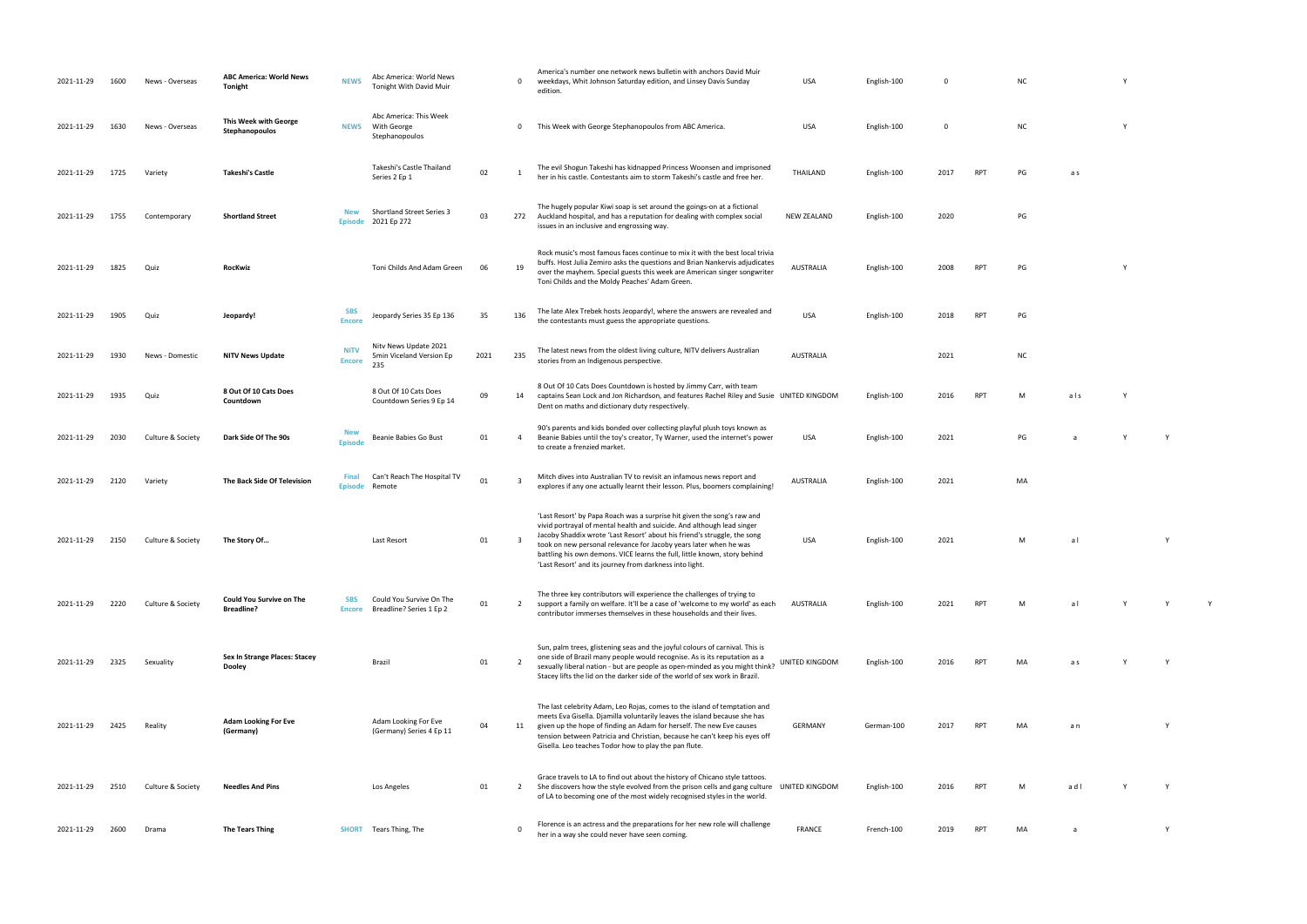- 0 This Week with George Stephanopoulos from ABC America. USA English-100 0 NC Y
- her in his castle. Contestants and free her. The storm Takeshi and free her. The storm Takeshi and free her. T<br>The storm Takeshi and free her. The storm Takeshi and free her. The storm Takeshi and free her. The storm Take
	-
- RPT PG Y
	-
	-
	-
- UNITED KING ASSESS AND THE RESEARCH PT
	- PG a Y Y
	-
	-
	- USA English-100 2021 M a l 2021 M a l 2021 M a l 2021 M a l 2021 M a l 2021 M a l 2021 M a l 2021 M a l 2021 M
- AUSTRALIA English-100 2021 RPT M a l Y Y Y
	-
- RPT MA as Y Y Y
- RPT MA an Y
	-
- UNITED KINGDOM English-100 2016 RPT M a d l Y Y
- her in a way she coming. FRANCE FRANCE FRANCE FRANCE FRANCE FRANCE FRANCE FRANCE FRANCE FRANCE FRANCE FRANCE F<br>The company of the communication of the communication of the communication of the communication of the communic
- 
- 
- 
- 
- 
- 
- 
- 
- 
- -
- 
- 
- 
- 
- 

| 2021-11-29 | 1600 | News - Overseas   | <b>ABC America: World News</b><br>Tonight            | <b>NEWS</b>                  | Abc America: World News<br>Tonight With David Muir       |      | $\mathbf 0$    | America's number one network news bulletin with anchors David Muir<br>weekdays, Whit Johnson Saturday edition, and Linsey Davis Sunday<br>edition.                                                                                                                                                                                                                                                                                         | <b>USA</b>         | English-100 | $\mathbf 0$ |            | <b>NC</b> |     |  |
|------------|------|-------------------|------------------------------------------------------|------------------------------|----------------------------------------------------------|------|----------------|--------------------------------------------------------------------------------------------------------------------------------------------------------------------------------------------------------------------------------------------------------------------------------------------------------------------------------------------------------------------------------------------------------------------------------------------|--------------------|-------------|-------------|------------|-----------|-----|--|
| 2021-11-29 | 1630 | News - Overseas   | This Week with George<br>Stephanopoulos              | <b>NEWS</b>                  | Abc America: This Week<br>With George<br>Stephanopoulos  |      | $\mathbf 0$    | This Week with George Stephanopoulos from ABC America.                                                                                                                                                                                                                                                                                                                                                                                     | <b>USA</b>         | English-100 | 0           |            | <b>NC</b> |     |  |
| 2021-11-29 | 1725 | Variety           | <b>Takeshi's Castle</b>                              |                              | Takeshi's Castle Thailand<br>Series 2 Ep 1               | 02   | 1              | The evil Shogun Takeshi has kidnapped Princess Woonsen and imprisoned<br>her in his castle. Contestants aim to storm Takeshi's castle and free her.                                                                                                                                                                                                                                                                                        | THAILAND           | English-100 | 2017        | <b>RPT</b> | PG        | a s |  |
| 2021-11-29 | 1755 | Contemporary      | <b>Shortland Street</b>                              | <b>New</b>                   | Shortland Street Series 3<br>Episode 2021 Ep 272         | 03   | 272            | The hugely popular Kiwi soap is set around the goings-on at a fictional<br>Auckland hospital, and has a reputation for dealing with complex social<br>issues in an inclusive and engrossing way.                                                                                                                                                                                                                                           | <b>NEW ZEALAND</b> | English-100 | 2020        |            | PG        |     |  |
| 2021-11-29 | 1825 | Quiz              | RocKwiz                                              |                              | Toni Childs And Adam Green                               | 06   | 19             | Rock music's most famous faces continue to mix it with the best local trivia<br>buffs. Host Julia Zemiro asks the questions and Brian Nankervis adjudicates<br>over the mayhem. Special guests this week are American singer songwriter<br>Toni Childs and the Moldy Peaches' Adam Green.                                                                                                                                                  | AUSTRALIA          | English-100 | 2008        | RPT        | PG        |     |  |
| 2021-11-29 | 1905 | Quiz              | Jeopardy!                                            | SBS<br><b>Encore</b>         | Jeopardy Series 35 Ep 136                                | 35   | 136            | The late Alex Trebek hosts Jeopardy!, where the answers are revealed and<br>the contestants must guess the appropriate questions.                                                                                                                                                                                                                                                                                                          | <b>USA</b>         | English-100 | 2018        | <b>RPT</b> | PG        |     |  |
| 2021-11-29 | 1930 | News - Domestic   | NITV News Update                                     | <b>NITV</b><br><b>Encore</b> | Nity News Update 2021<br>5min Viceland Version Ep<br>235 | 2021 | 235            | The latest news from the oldest living culture, NITV delivers Australian<br>stories from an Indigenous perspective.                                                                                                                                                                                                                                                                                                                        | <b>AUSTRALIA</b>   |             | 2021        |            | <b>NC</b> |     |  |
| 2021-11-29 | 1935 | Quiz              | 8 Out Of 10 Cats Does<br>Countdown                   |                              | 8 Out Of 10 Cats Does<br>Countdown Series 9 Ep 14        | 09   | 14             | 8 Out Of 10 Cats Does Countdown is hosted by Jimmy Carr, with team<br>captains Sean Lock and Jon Richardson, and features Rachel Riley and Susie UNITED KINGDOM<br>Dent on maths and dictionary duty respectively.                                                                                                                                                                                                                         |                    | English-100 | 2016        | <b>RPT</b> | M         | als |  |
| 2021-11-29 | 2030 | Culture & Society | Dark Side Of The 90s                                 | <b>New</b><br><b>Episode</b> | Beanie Babies Go Bust                                    | 01   | 4              | 90's parents and kids bonded over collecting playful plush toys known as<br>Beanie Babies until the toy's creator, Ty Warner, used the internet's power<br>to create a frenzied market.                                                                                                                                                                                                                                                    | <b>USA</b>         | English-100 | 2021        |            | PG        |     |  |
| 2021-11-29 | 2120 | Variety           | The Back Side Of Television                          | Final<br><b>Episode</b>      | Can't Reach The Hospital TV<br>Remote                    | 01   | 3              | Mitch dives into Australian TV to revisit an infamous news report and<br>explores if any one actually learnt their lesson. Plus, boomers complaining!                                                                                                                                                                                                                                                                                      | AUSTRALIA          | English-100 | 2021        |            | MA        |     |  |
| 2021-11-29 | 2150 | Culture & Society | The Story Of                                         |                              | Last Resort                                              | 01   | 3              | 'Last Resort' by Papa Roach was a surprise hit given the song's raw and<br>vivid portrayal of mental health and suicide. And although lead singer<br>Jacoby Shaddix wrote 'Last Resort' about his friend's struggle, the song<br>took on new personal relevance for Jacoby years later when he was<br>battling his own demons. VICE learns the full, little known, story behind<br>'Last Resort' and its journey from darkness into light. | USA                | English-100 | 2021        |            | M         | al  |  |
| 2021-11-29 | 2220 | Culture & Society | <b>Could You Survive on The</b><br><b>Breadline?</b> | <b>SBS</b><br><b>Encore</b>  | Could You Survive On The<br>Breadline? Series 1 Ep 2     | 01   | $\overline{2}$ | The three key contributors will experience the challenges of trying to<br>support a family on welfare. It'll be a case of 'welcome to my world' as each<br>contributor immerses themselves in these households and their lives.                                                                                                                                                                                                            | AUSTRALIA          | English-100 | 2021        | <b>RPT</b> | M         | al  |  |
| 2021-11-29 | 2325 | Sexuality         | Sex In Strange Places: Stacey<br>Dooley              |                              | Brazil                                                   | 01   | 2              | Sun, palm trees, glistening seas and the joyful colours of carnival. This is<br>one side of Brazil many people would recognise. As is its reputation as a<br>sexually liberal nation - but are people as open-minded as you might think?<br>Stacey lifts the lid on the darker side of the world of sex work in Brazil.                                                                                                                    | UNITED KINGDOM     | English-100 | 2016        | <b>RPT</b> | MA        | a s |  |
| 2021-11-29 | 2425 | Reality           | <b>Adam Looking For Eve</b><br>(Germany)             |                              | Adam Looking For Eve<br>(Germany) Series 4 Ep 11         | 04   | 11             | The last celebrity Adam, Leo Rojas, comes to the island of temptation and<br>meets Eva Gisella. Djamilla voluntarily leaves the island because she has<br>given up the hope of finding an Adam for herself. The new Eve causes<br>tension between Patricia and Christian, because he can't keep his eyes off<br>Gisella. Leo teaches Todor how to play the pan flute.                                                                      | <b>GERMANY</b>     | German-100  | 2017        | <b>RPT</b> | MA        | a n |  |
| 2021-11-29 | 2510 | Culture & Society | <b>Needles And Pins</b>                              |                              | Los Angeles                                              | 01   | $\overline{2}$ | Grace travels to LA to find out about the history of Chicano style tattoos.<br>She discovers how the style evolved from the prison cells and gang culture UNITED KINGDOM<br>of LA to becoming one of the most widely recognised styles in the world.                                                                                                                                                                                       |                    | English-100 | 2016        | <b>RPT</b> | M         | adl |  |
| 2021-11-29 | 2600 | Drama             | <b>The Tears Thing</b>                               |                              | <b>SHORT</b> Tears Thing, The                            |      | $\Omega$       | Florence is an actress and the preparations for her new role will challenge<br>her in a way she could never have seen coming.                                                                                                                                                                                                                                                                                                              | <b>FRANCE</b>      | French-100  | 2019        | RPT        | MA        | a   |  |

| NC | Y |
|----|---|
|    |   |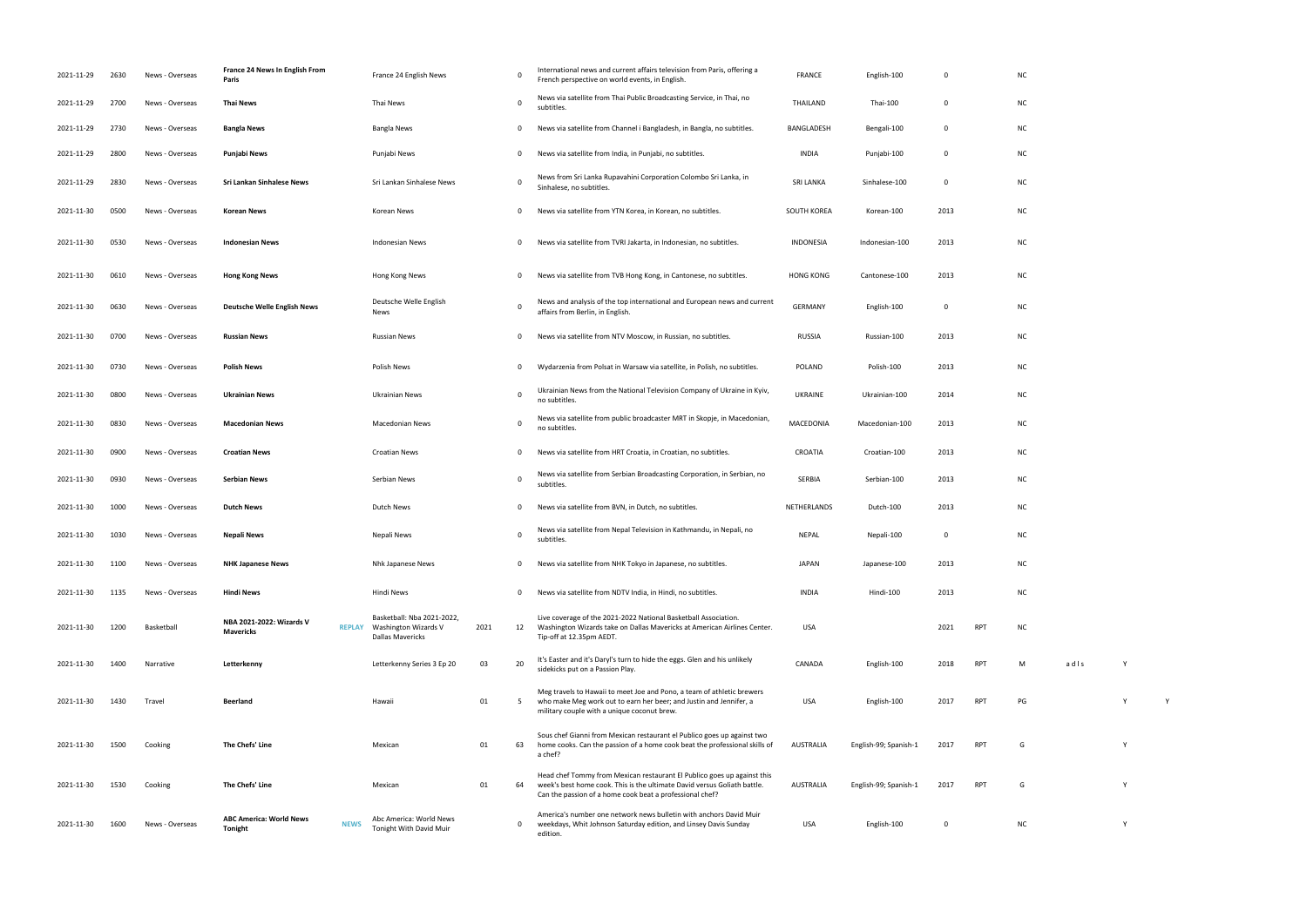| 2021-11-29 | 2630 | News - Overseas | France 24 News In English From<br>Paris                         | France 24 English News                                                               |      | 0           | International news and current affairs television from Paris, offering a<br>French perspective on world events, in English.                                                                                     | FRANCE           | English-100           | $\Omega$    |            | NC        |      |   |  |
|------------|------|-----------------|-----------------------------------------------------------------|--------------------------------------------------------------------------------------|------|-------------|-----------------------------------------------------------------------------------------------------------------------------------------------------------------------------------------------------------------|------------------|-----------------------|-------------|------------|-----------|------|---|--|
| 2021-11-29 | 2700 | News - Overseas | Thai News                                                       | Thai News                                                                            |      | $\mathbf 0$ | News via satellite from Thai Public Broadcasting Service, in Thai, no<br>subtitles.                                                                                                                             | THAILAND         | Thai-100              | 0           |            | <b>NC</b> |      |   |  |
| 2021-11-29 | 2730 | News - Overseas | <b>Bangla News</b>                                              | Bangla News                                                                          |      | 0           | News via satellite from Channel i Bangladesh, in Bangla, no subtitles.                                                                                                                                          | BANGLADESH       | Bengali-100           | $\Omega$    |            | <b>NC</b> |      |   |  |
| 2021-11-29 | 2800 | News - Overseas | Punjabi News                                                    | Punjabi News                                                                         |      | 0           | News via satellite from India, in Punjabi, no subtitles.                                                                                                                                                        | INDIA            | Punjabi-100           | $\Omega$    |            | <b>NC</b> |      |   |  |
| 2021-11-29 | 2830 | News - Overseas | Sri Lankan Sinhalese News                                       | Sri Lankan Sinhalese News                                                            |      | 0           | News from Sri Lanka Rupavahini Corporation Colombo Sri Lanka, in<br>Sinhalese, no subtitles.                                                                                                                    | <b>SRI LANKA</b> | Sinhalese-100         | $\Omega$    |            | <b>NC</b> |      |   |  |
| 2021-11-30 | 0500 | News - Overseas | Korean News                                                     | Korean News                                                                          |      | 0           | News via satellite from YTN Korea, in Korean, no subtitles.                                                                                                                                                     | SOUTH KOREA      | Korean-100            | 2013        |            | <b>NC</b> |      |   |  |
| 2021-11-30 | 0530 | News - Overseas | <b>Indonesian News</b>                                          | Indonesian News                                                                      |      | 0           | News via satellite from TVRI Jakarta, in Indonesian, no subtitles.                                                                                                                                              | <b>INDONESIA</b> | Indonesian-100        | 2013        |            | <b>NC</b> |      |   |  |
| 2021-11-30 | 0610 | News - Overseas | <b>Hong Kong News</b>                                           | Hong Kong News                                                                       |      | 0           | News via satellite from TVB Hong Kong, in Cantonese, no subtitles.                                                                                                                                              | <b>HONG KONG</b> | Cantonese-100         | 2013        |            | <b>NC</b> |      |   |  |
| 2021-11-30 | 0630 | News - Overseas | <b>Deutsche Welle English News</b>                              | Deutsche Welle English<br>News                                                       |      | 0           | News and analysis of the top international and European news and current<br>affairs from Berlin, in English.                                                                                                    | <b>GERMANY</b>   | English-100           | 0           |            | <b>NC</b> |      |   |  |
| 2021-11-30 | 0700 | News - Overseas | <b>Russian News</b>                                             | <b>Russian News</b>                                                                  |      | 0           | News via satellite from NTV Moscow, in Russian, no subtitles.                                                                                                                                                   | <b>RUSSIA</b>    | Russian-100           | 2013        |            | <b>NC</b> |      |   |  |
| 2021-11-30 | 0730 | News - Overseas | <b>Polish News</b>                                              | Polish News                                                                          |      | 0           | Wydarzenia from Polsat in Warsaw via satellite, in Polish, no subtitles.                                                                                                                                        | POLAND           | Polish-100            | 2013        |            | <b>NC</b> |      |   |  |
| 2021-11-30 | 0800 | News - Overseas | <b>Ukrainian News</b>                                           | Ukrainian News                                                                       |      | 0           | Ukrainian News from the National Television Company of Ukraine in Kyiv,<br>no subtitles.                                                                                                                        | <b>UKRAINE</b>   | Ukrainian-100         | 2014        |            | <b>NC</b> |      |   |  |
| 2021-11-30 | 0830 | News - Overseas | <b>Macedonian News</b>                                          | Macedonian News                                                                      |      | 0           | News via satellite from public broadcaster MRT in Skopje, in Macedonian,<br>no subtitles.                                                                                                                       | MACEDONIA        | Macedonian-100        | 2013        |            | <b>NC</b> |      |   |  |
| 2021-11-30 | 0900 | News - Overseas | <b>Croatian News</b>                                            | <b>Croatian News</b>                                                                 |      | 0           | News via satellite from HRT Croatia, in Croatian, no subtitles.                                                                                                                                                 | CROATIA          | Croatian-100          | 2013        |            | <b>NC</b> |      |   |  |
| 2021-11-30 | 0930 | News - Overseas | <b>Serbian News</b>                                             | Serbian News                                                                         |      | 0           | News via satellite from Serbian Broadcasting Corporation, in Serbian, no<br>subtitles.                                                                                                                          | SERBIA           | Serbian-100           | 2013        |            | <b>NC</b> |      |   |  |
| 2021-11-30 | 1000 | News - Overseas | <b>Dutch News</b>                                               | <b>Dutch News</b>                                                                    |      | 0           | News via satellite from BVN, in Dutch, no subtitles.                                                                                                                                                            | NETHERLANDS      | Dutch-100             | 2013        |            | <b>NC</b> |      |   |  |
| 2021-11-30 | 1030 | News - Overseas | Nepali News                                                     | Nepali News                                                                          |      | 0           | News via satellite from Nepal Television in Kathmandu, in Nepali, no<br>subtitles.                                                                                                                              | <b>NEPAL</b>     | Nepali-100            | 0           |            | <b>NC</b> |      |   |  |
| 2021-11-30 | 1100 | News - Overseas | <b>NHK Japanese News</b>                                        | Nhk Japanese News                                                                    |      | 0           | News via satellite from NHK Tokyo in Japanese, no subtitles.                                                                                                                                                    | <b>JAPAN</b>     | Japanese-100          | 2013        |            | <b>NC</b> |      |   |  |
| 2021-11-30 | 1135 | News - Overseas | <b>Hindi News</b>                                               | Hindi News                                                                           |      | $\mathbf 0$ | News via satellite from NDTV India, in Hindi, no subtitles.                                                                                                                                                     | <b>INDIA</b>     | Hindi-100             | 2013        |            | <b>NC</b> |      |   |  |
| 2021-11-30 | 1200 | Basketball      | NBA 2021-2022: Wizards V<br><b>Mavericks</b>                    | Basketball: Nba 2021-2022,<br>REPLAY Washington Wizards V<br><b>Dallas Mavericks</b> | 2021 | 12          | Live coverage of the 2021-2022 National Basketball Association.<br>Washington Wizards take on Dallas Mavericks at American Airlines Center.<br>Tip-off at 12.35pm AEDT.                                         | <b>USA</b>       |                       | 2021        | <b>RPT</b> | <b>NC</b> |      |   |  |
| 2021-11-30 | 1400 | Narrative       | Letterkenny                                                     | Letterkenny Series 3 Ep 20                                                           | 03   | 20          | It's Easter and it's Daryl's turn to hide the eggs. Glen and his unlikely<br>sidekicks put on a Passion Play.                                                                                                   | CANADA           | English-100           | 2018        | <b>RPT</b> | M         | adls |   |  |
| 2021-11-30 | 1430 | Travel          | <b>Beerland</b>                                                 | Hawaii                                                                               | 01   | -5          | Meg travels to Hawaii to meet Joe and Pono, a team of athletic brewers<br>who make Meg work out to earn her beer; and Justin and Jennifer, a<br>military couple with a unique coconut brew.                     | <b>USA</b>       | English-100           | 2017        | <b>RPT</b> | PG        |      |   |  |
| 2021-11-30 | 1500 | Cooking         | The Chefs' Line                                                 | Mexican                                                                              | 01   | 63          | Sous chef Gianni from Mexican restaurant el Publico goes up against two<br>home cooks. Can the passion of a home cook beat the professional skills of<br>a chef?                                                | AUSTRALIA        | English-99; Spanish-1 | 2017        | <b>RPT</b> | G         |      |   |  |
| 2021-11-30 | 1530 | Cooking         | The Chefs' Line                                                 | Mexican                                                                              | 01   | 64          | Head chef Tommy from Mexican restaurant El Publico goes up against this<br>week's best home cook. This is the ultimate David versus Goliath battle.<br>Can the passion of a home cook beat a professional chef? | <b>AUSTRALIA</b> | English-99; Spanish-1 | 2017        | <b>RPT</b> | G         |      |   |  |
| 2021-11-30 | 1600 | News - Overseas | <b>ABC America: World News</b><br><b>NEWS</b><br><b>Tonight</b> | Abc America: World News<br>Tonight With David Muir                                   |      | 0           | America's number one network news bulletin with anchors David Muir<br>weekdays, Whit Johnson Saturday edition, and Linsey Davis Sunday<br>edition.                                                              | USA              | English-100           | $\mathbf 0$ |            | <b>NC</b> |      | Y |  |

|                         |     | NC            |      |              |   |  |
|-------------------------|-----|---------------|------|--------------|---|--|
|                         |     | NC            |      |              |   |  |
|                         |     | $NC$          |      |              |   |  |
|                         |     | $NC$          |      |              |   |  |
|                         |     | $NC$          |      |              |   |  |
| $\overline{\mathbf{3}}$ |     | $NC$          |      |              |   |  |
| 3                       |     | NC            |      |              |   |  |
| 3                       |     | NC            |      |              |   |  |
|                         |     | NC            |      |              |   |  |
| 3                       |     | NC            |      |              |   |  |
| 3                       |     | $NC$          |      |              |   |  |
| 4                       |     | $NC$          |      |              |   |  |
| 3                       |     | $NC$          |      |              |   |  |
| 3                       |     | NC            |      |              |   |  |
| 3                       |     | NC            |      |              |   |  |
| 3                       |     | NC            |      |              |   |  |
|                         |     | $NC$          |      |              |   |  |
| $\overline{\mathbf{3}}$ |     | $\sf NC$      |      |              |   |  |
| 3                       |     | NC            |      |              |   |  |
| $\mathbf{1}$            | RPT | ${\sf NC}$    |      |              |   |  |
| $\overline{\bf 8}$      | RPT | ${\sf M}$     | adis | $\mathsf{Y}$ |   |  |
| $\overline{7}$          | RPT | $\mathsf{PG}$ |      | Y            | Y |  |
| $\overline{7}$          | RPT | ${\mathsf G}$ |      | Y            |   |  |
|                         |     |               |      |              |   |  |
| $\overline{7}$          | RPT | ${\mathsf G}$ |      | Y            |   |  |
|                         |     | $\sf NC$      |      | Y            |   |  |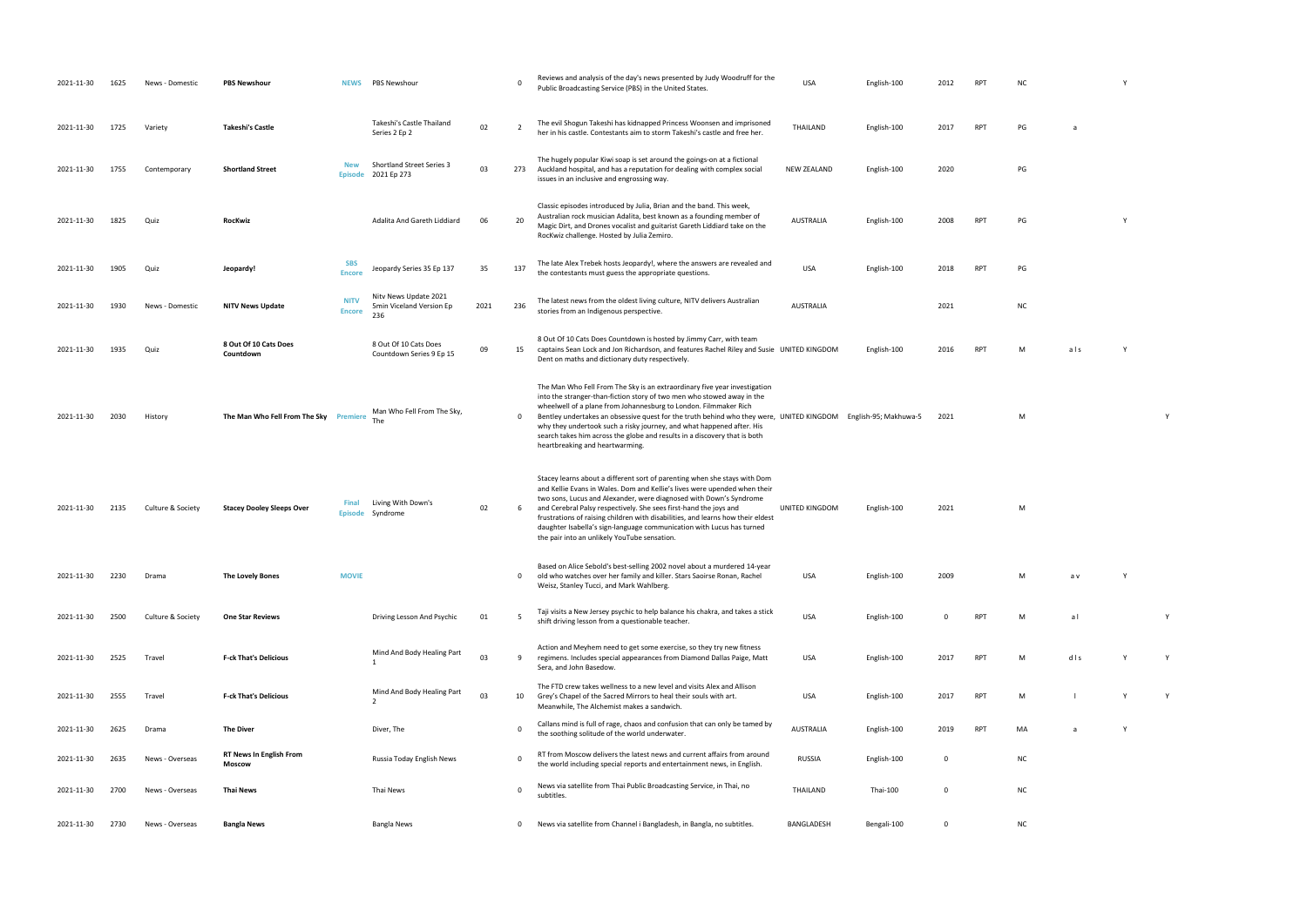USA English-100 2009 M a v Y shift driving lesson from a question from a view of the teacher. USA English-100 V<br>District teacher. USA English-100 View of the teacher. USA English-100 View of the teacher. USA English-100 Vi<br>District teacher. USA Englis

RPT M d l s Y Y USA English-100 2017 RPT M l Y Y

the solitude of the world underwater. Also world underwater. AuSTRALIA English-100 2019 RPT MA a Wa Y

| 2021-11-30 | 1625 | News - Domestic   | <b>PBS Newshour</b>                             | <b>NEWS</b>                  | PBS Newshour                                             |      | $\Omega$                | Reviews and analysis of the day's news presented by Judy Woodruff for the<br>Public Broadcasting Service (PBS) in the United States.                                                                                                                                                                                                                                                                                                                                                                                               | <b>USA</b>       | English-100 | 2012        | <b>RPT</b> | <b>NC</b> |     |
|------------|------|-------------------|-------------------------------------------------|------------------------------|----------------------------------------------------------|------|-------------------------|------------------------------------------------------------------------------------------------------------------------------------------------------------------------------------------------------------------------------------------------------------------------------------------------------------------------------------------------------------------------------------------------------------------------------------------------------------------------------------------------------------------------------------|------------------|-------------|-------------|------------|-----------|-----|
| 2021-11-30 | 1725 | Variety           | <b>Takeshi's Castle</b>                         |                              | Takeshi's Castle Thailand<br>Series 2 Ep 2               | 02   | $\overline{2}$          | The evil Shogun Takeshi has kidnapped Princess Woonsen and imprisoned<br>her in his castle. Contestants aim to storm Takeshi's castle and free her.                                                                                                                                                                                                                                                                                                                                                                                | THAILAND         | English-100 | 2017        | <b>RPT</b> | PG        | a   |
| 2021-11-30 | 1755 | Contemporary      | <b>Shortland Street</b>                         | <b>New</b><br><b>Episode</b> | Shortland Street Series 3<br>2021 Ep 273                 | 03   | 273                     | The hugely popular Kiwi soap is set around the goings-on at a fictional<br>Auckland hospital, and has a reputation for dealing with complex social<br>issues in an inclusive and engrossing way.                                                                                                                                                                                                                                                                                                                                   | NEW ZEALAND      | English-100 | 2020        |            | PG        |     |
| 2021-11-30 | 1825 | Quiz              | <b>RocKwiz</b>                                  |                              | Adalita And Gareth Liddiard                              | 06   | 20                      | Classic episodes introduced by Julia, Brian and the band. This week,<br>Australian rock musician Adalita, best known as a founding member of<br>Magic Dirt, and Drones vocalist and guitarist Gareth Liddiard take on the<br>RocKwiz challenge. Hosted by Julia Zemiro.                                                                                                                                                                                                                                                            | <b>AUSTRALIA</b> | English-100 | 2008        | <b>RPT</b> | PG        |     |
| 2021-11-30 | 1905 | Quiz              | Jeopardy!                                       | <b>SBS</b><br><b>Encore</b>  | Jeopardy Series 35 Ep 137                                | 35   | 137                     | The late Alex Trebek hosts Jeopardy!, where the answers are revealed and<br>the contestants must guess the appropriate questions.                                                                                                                                                                                                                                                                                                                                                                                                  | <b>USA</b>       | English-100 | 2018        | <b>RPT</b> | PG        |     |
| 2021-11-30 | 1930 | News - Domestic   | <b>NITV News Update</b>                         | <b>NITV</b><br><b>Encore</b> | Nitv News Update 2021<br>5min Viceland Version Ep<br>236 | 2021 | 236                     | The latest news from the oldest living culture, NITV delivers Australian<br>stories from an Indigenous perspective.                                                                                                                                                                                                                                                                                                                                                                                                                | <b>AUSTRALIA</b> |             | 2021        |            | <b>NC</b> |     |
| 2021-11-30 | 1935 | Quiz              | 8 Out Of 10 Cats Does<br>Countdown              |                              | 8 Out Of 10 Cats Does<br>Countdown Series 9 Ep 15        | 09   | 15                      | 8 Out Of 10 Cats Does Countdown is hosted by Jimmy Carr, with team<br>captains Sean Lock and Jon Richardson, and features Rachel Riley and Susie UNITED KINGDOM<br>Dent on maths and dictionary duty respectively.                                                                                                                                                                                                                                                                                                                 |                  | English-100 | 2016        | <b>RPT</b> | M         | als |
| 2021-11-30 | 2030 | History           | The Man Who Fell From The Sky Premiere          |                              | Man Who Fell From The Sky,                               |      | $\mathbf 0$             | The Man Who Fell From The Sky is an extraordinary five year investigation<br>into the stranger-than-fiction story of two men who stowed away in the<br>wheelwell of a plane from Johannesburg to London. Filmmaker Rich<br>Bentley undertakes an obsessive quest for the truth behind who they were, UNITED KINGDOM English-95; Makhuwa-5<br>why they undertook such a risky journey, and what happened after. His<br>search takes him across the globe and results in a discovery that is both<br>heartbreaking and heartwarming. |                  |             | 2021        |            | M         |     |
| 2021-11-30 | 2135 | Culture & Society | <b>Stacey Dooley Sleeps Over</b>                | Final<br><b>Episode</b>      | Living With Down's<br>Syndrome                           | 02   | 6                       | Stacey learns about a different sort of parenting when she stays with Dom<br>and Kellie Evans in Wales. Dom and Kellie's lives were upended when their<br>two sons, Lucus and Alexander, were diagnosed with Down's Syndrome<br>and Cerebral Palsy respectively. She sees first-hand the joys and<br>frustrations of raising children with disabilities, and learns how their eldest<br>daughter Isabella's sign-language communication with Lucus has turned<br>the pair into an unlikely YouTube sensation.                      | UNITED KINGDOM   | English-100 | 2021        |            | M         |     |
| 2021-11-30 | 2230 | Drama             | <b>The Lovely Bones</b>                         | <b>MOVIE</b>                 |                                                          |      | $\mathbf 0$             | Based on Alice Sebold's best-selling 2002 novel about a murdered 14-year<br>old who watches over her family and killer. Stars Saoirse Ronan, Rachel<br>Weisz, Stanley Tucci, and Mark Wahlberg.                                                                                                                                                                                                                                                                                                                                    | USA              | English-100 | 2009        |            | M         | a v |
| 2021-11-30 | 2500 | Culture & Society | <b>One Star Reviews</b>                         |                              | Driving Lesson And Psychic                               | 01   | -5                      | Taji visits a New Jersey psychic to help balance his chakra, and takes a stick<br>shift driving lesson from a questionable teacher.                                                                                                                                                                                                                                                                                                                                                                                                | <b>USA</b>       | English-100 | $\Omega$    | <b>RPT</b> | M         | al  |
| 2021-11-30 | 2525 | Travel            | <b>F-ck That's Delicious</b>                    |                              | Mind And Body Healing Part<br>$\mathbf{1}$               | 03   | -9                      | Action and Meyhem need to get some exercise, so they try new fitness<br>regimens. Includes special appearances from Diamond Dallas Paige, Matt<br>Sera, and John Basedow.                                                                                                                                                                                                                                                                                                                                                          | USA              | English-100 | 2017        | <b>RPT</b> | M         | dis |
| 2021-11-30 | 2555 | Travel            | <b>F-ck That's Delicious</b>                    |                              | Mind And Body Healing Part<br>$\overline{2}$             | 03   | 10                      | The FTD crew takes wellness to a new level and visits Alex and Allison<br>Grey's Chapel of the Sacred Mirrors to heal their souls with art.<br>Meanwhile, The Alchemist makes a sandwich.                                                                                                                                                                                                                                                                                                                                          | USA              | English-100 | 2017        | <b>RPT</b> | M         |     |
| 2021-11-30 | 2625 | Drama             | <b>The Diver</b>                                |                              | Diver, The                                               |      | $\overline{\mathbf{0}}$ | Callans mind is full of rage, chaos and confusion that can only be tamed by<br>the soothing solitude of the world underwater.                                                                                                                                                                                                                                                                                                                                                                                                      | <b>AUSTRALIA</b> | English-100 | 2019        | <b>RPT</b> | MA        | a   |
| 2021-11-30 | 2635 | News - Overseas   | <b>RT News In English From</b><br><b>Moscow</b> |                              | Russia Today English News                                |      | $\overline{\mathbf{0}}$ | RT from Moscow delivers the latest news and current affairs from around<br>the world including special reports and entertainment news, in English.                                                                                                                                                                                                                                                                                                                                                                                 | <b>RUSSIA</b>    | English-100 | 0           |            | <b>NC</b> |     |
| 2021-11-30 | 2700 | News - Overseas   | <b>Thai News</b>                                |                              | Thai News                                                |      | $\Omega$                | News via satellite from Thai Public Broadcasting Service, in Thai, no<br>subtitles.                                                                                                                                                                                                                                                                                                                                                                                                                                                | THAILAND         | Thai-100    | $\mathbf 0$ |            | <b>NC</b> |     |
| 2021-11-30 | 2730 | News - Overseas   | <b>Bangla News</b>                              |                              | Bangla News                                              |      | $\mathbf 0$             | News via satellite from Channel i Bangladesh, in Bangla, no subtitles.                                                                                                                                                                                                                                                                                                                                                                                                                                                             | BANGLADESH       | Bengali-100 | 0           |            | <b>NC</b> |     |

| NC | Υ |  |
|----|---|--|
|    |   |  |

| PG | a |
|----|---|
|    |   |
|    |   |
| PG |   |

 $\begin{array}{ccc} 2008 & & \text{RPT} & & \text{PG} \end{array}$  Y

 $h$ -100 2018 RPT PG  $\overline{NC}$ 

h-100 2016 RPT M a ls Y

 $U_1$  M  $V_2$ 

UNITED KINGDOM ENGLISH-100 2021 MILLION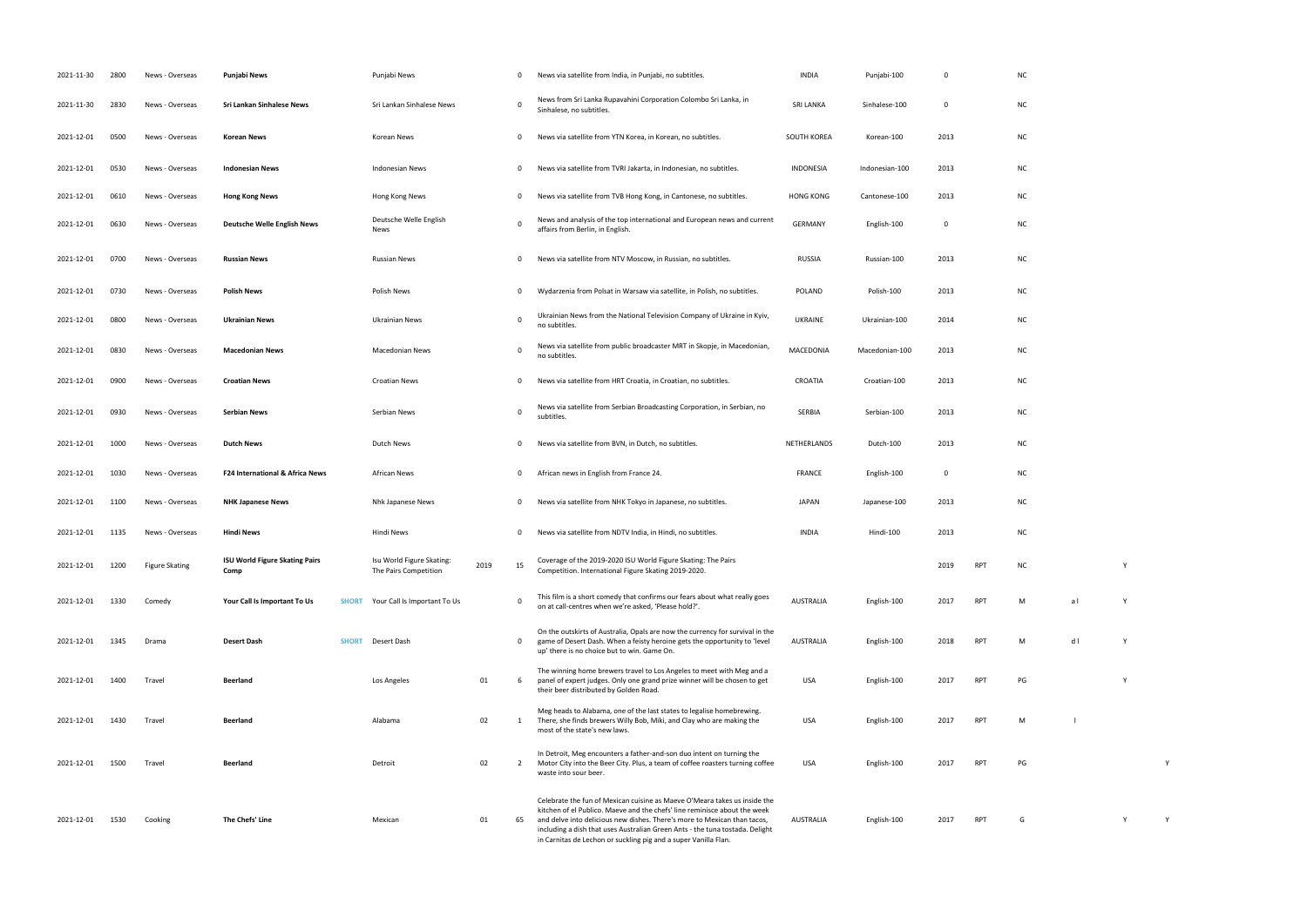|                | $\pmb{0}$ |            | $NC$          |                          |             |   |  |
|----------------|-----------|------------|---------------|--------------------------|-------------|---|--|
| J              | $\pmb{0}$ |            | $\sf NC$      |                          |             |   |  |
|                | 2013      |            | $\sf NC$      |                          |             |   |  |
| 0              | 2013      |            | $\sf NC$      |                          |             |   |  |
| 0              | 2013      |            | $\sf NC$      |                          |             |   |  |
|                | $\pmb{0}$ |            | $\sf NC$      |                          |             |   |  |
|                | 2013      |            | $\sf NC$      |                          |             |   |  |
|                | 2013      |            | $NC$          |                          |             |   |  |
| $\mathfrak{c}$ | 2014      |            | $\sf NC$      |                          |             |   |  |
| $\overline{0}$ | 2013      |            | ${\sf NC}$    |                          |             |   |  |
|                | 2013      |            | $\sf NC$      |                          |             |   |  |
|                | 2013      |            | $\sf NC$      |                          |             |   |  |
|                | 2013      |            | $\sf NC$      |                          |             |   |  |
|                | $\pmb{0}$ |            | $\sf NC$      |                          |             |   |  |
| )              | 2013      |            | ${\sf NC}$    |                          |             |   |  |
|                | 2013      |            | $\sf NC$      |                          |             |   |  |
|                | 2019      | RPT        | ${\sf NC}$    |                          | Υ           |   |  |
|                | 2017      | RPT        | M             | $\mathsf{a}\:\mathsf{I}$ | $\mathsf Y$ |   |  |
|                | 2018      | RPT        | M             | $\sf d$ l                | $\mathsf Y$ |   |  |
|                |           |            |               |                          |             |   |  |
|                | 2017      | <b>RPT</b> | $\mathsf{PG}$ |                          | Y           |   |  |
|                | 2017      | RPT        | M             | $\sim 1$                 |             |   |  |
|                | 2017      | RPT        | $\mathsf{PG}$ |                          |             | Υ |  |
|                |           |            |               |                          |             |   |  |
|                |           |            |               |                          |             |   |  |

RPT G Y Y Y

| 2021-11-30 | 2800 | News - Overseas       | <b>Punjabi News</b>                           | Punjabi News                                       |      | $\Omega$     | News via satellite from India, in Punjabi, no subtitles.                                                                                                                                                                                                                                                                                                                              | <b>INDIA</b>       | Punjabi-100    | 0           |            | N0             |
|------------|------|-----------------------|-----------------------------------------------|----------------------------------------------------|------|--------------|---------------------------------------------------------------------------------------------------------------------------------------------------------------------------------------------------------------------------------------------------------------------------------------------------------------------------------------------------------------------------------------|--------------------|----------------|-------------|------------|----------------|
| 2021-11-30 | 2830 | News - Overseas       | Sri Lankan Sinhalese News                     | Sri Lankan Sinhalese News                          |      | $\Omega$     | News from Sri Lanka Rupavahini Corporation Colombo Sri Lanka, in<br>Sinhalese, no subtitles.                                                                                                                                                                                                                                                                                          | <b>SRI LANKA</b>   | Sinhalese-100  | 0           |            | N0             |
| 2021-12-01 | 0500 | News - Overseas       | <b>Korean News</b>                            | Korean News                                        |      | 0            | News via satellite from YTN Korea, in Korean, no subtitles.                                                                                                                                                                                                                                                                                                                           | <b>SOUTH KOREA</b> | Korean-100     | 2013        |            | N0             |
| 2021-12-01 | 0530 | News - Overseas       | <b>Indonesian News</b>                        | <b>Indonesian News</b>                             |      | $\mathbf{0}$ | News via satellite from TVRI Jakarta, in Indonesian, no subtitles.                                                                                                                                                                                                                                                                                                                    | INDONESIA          | Indonesian-100 | 2013        |            | N0             |
| 2021-12-01 | 0610 | News - Overseas       | <b>Hong Kong News</b>                         | Hong Kong News                                     |      | 0            | News via satellite from TVB Hong Kong, in Cantonese, no subtitles.                                                                                                                                                                                                                                                                                                                    | <b>HONG KONG</b>   | Cantonese-100  | 2013        |            | N0             |
| 2021-12-01 | 0630 | News - Overseas       | <b>Deutsche Welle English News</b>            | Deutsche Welle English<br>News                     |      | $\Omega$     | News and analysis of the top international and European news and current<br>affairs from Berlin, in English.                                                                                                                                                                                                                                                                          | <b>GERMANY</b>     | English-100    | $\mathbf 0$ |            | N0             |
| 2021-12-01 | 0700 | News - Overseas       | <b>Russian News</b>                           | <b>Russian News</b>                                |      | 0            | News via satellite from NTV Moscow, in Russian, no subtitles.                                                                                                                                                                                                                                                                                                                         | <b>RUSSIA</b>      | Russian-100    | 2013        |            | N <sub>C</sub> |
| 2021-12-01 | 0730 | News - Overseas       | <b>Polish News</b>                            | Polish News                                        |      | 0            | Wydarzenia from Polsat in Warsaw via satellite, in Polish, no subtitles.                                                                                                                                                                                                                                                                                                              | <b>POLAND</b>      | Polish-100     | 2013        |            | NO             |
| 2021-12-01 | 0800 | News - Overseas       | <b>Ukrainian News</b>                         | Ukrainian News                                     |      | $\Omega$     | Ukrainian News from the National Television Company of Ukraine in Kyiv,<br>no subtitles.                                                                                                                                                                                                                                                                                              | UKRAINE            | Ukrainian-100  | 2014        |            | N0             |
| 2021-12-01 | 0830 | News - Overseas       | <b>Macedonian News</b>                        | Macedonian News                                    |      | $\Omega$     | News via satellite from public broadcaster MRT in Skopje, in Macedonian,<br>no subtitles.                                                                                                                                                                                                                                                                                             | MACEDONIA          | Macedonian-100 | 2013        |            | NO             |
| 2021-12-01 | 0900 | News - Overseas       | <b>Croatian News</b>                          | <b>Croatian News</b>                               |      | 0            | News via satellite from HRT Croatia, in Croatian, no subtitles.                                                                                                                                                                                                                                                                                                                       | CROATIA            | Croatian-100   | 2013        |            | N0             |
| 2021-12-01 | 0930 | News - Overseas       | <b>Serbian News</b>                           | Serbian News                                       |      | 0            | News via satellite from Serbian Broadcasting Corporation, in Serbian, no<br>subtitles.                                                                                                                                                                                                                                                                                                | SERBIA             | Serbian-100    | 2013        |            | N0             |
| 2021-12-01 | 1000 | News - Overseas       | <b>Dutch News</b>                             | Dutch News                                         |      | $\Omega$     | News via satellite from BVN, in Dutch, no subtitles.                                                                                                                                                                                                                                                                                                                                  | NETHERLANDS        | Dutch-100      | 2013        |            | <b>N</b>       |
| 2021-12-01 | 1030 | News - Overseas       | <b>F24 International &amp; Africa News</b>    | African News                                       |      | $\mathbf{0}$ | African news in English from France 24.                                                                                                                                                                                                                                                                                                                                               | <b>FRANCE</b>      | English-100    | 0           |            | N0             |
| 2021-12-01 | 1100 | News - Overseas       | <b>NHK Japanese News</b>                      | Nhk Japanese News                                  |      | $\mathbf{0}$ | News via satellite from NHK Tokyo in Japanese, no subtitles.                                                                                                                                                                                                                                                                                                                          | <b>JAPAN</b>       | Japanese-100   | 2013        |            | NO             |
| 2021-12-01 | 1135 | News - Overseas       | Hindi News                                    | Hindi News                                         |      | $\mathbf{0}$ | News via satellite from NDTV India, in Hindi, no subtitles.                                                                                                                                                                                                                                                                                                                           | <b>INDIA</b>       | Hindi-100      | 2013        |            | N0             |
| 2021-12-01 | 1200 | <b>Figure Skating</b> | <b>ISU World Figure Skating Pairs</b><br>Comp | Isu World Figure Skating:<br>The Pairs Competition | 2019 | 15           | Coverage of the 2019-2020 ISU World Figure Skating: The Pairs<br>Competition. International Figure Skating 2019-2020.                                                                                                                                                                                                                                                                 |                    |                | 2019        | <b>RPT</b> |                |
| 2021-12-01 | 1330 | Comedy                | Your Call Is Important To Us<br><b>SHORT</b>  | Your Call Is Important To Us                       |      | $\Omega$     | This film is a short comedy that confirms our fears about what really goes<br>on at call-centres when we're asked, 'Please hold?'.                                                                                                                                                                                                                                                    | <b>AUSTRALIA</b>   | English-100    | 2017        | <b>RPT</b> | M              |
| 2021-12-01 | 1345 | Drama                 | <b>Desert Dash</b><br><b>SHORT</b>            | Desert Dash                                        |      | 0            | On the outskirts of Australia, Opals are now the currency for survival in the<br>game of Desert Dash. When a feisty heroine gets the opportunity to 'level<br>up' there is no choice but to win. Game On.                                                                                                                                                                             | AUSTRALIA          | English-100    | 2018        | RPT        | M              |
| 2021-12-01 | 1400 | Travel                | Beerland                                      | Los Angeles                                        | 01   | 6            | The winning home brewers travel to Los Angeles to meet with Meg and a<br>panel of expert judges. Only one grand prize winner will be chosen to get<br>their beer distributed by Golden Road.                                                                                                                                                                                          | USA                | English-100    | 2017        | <b>RPT</b> | PG             |
| 2021-12-01 | 1430 | Travel                | <b>Beerland</b>                               | Alabama                                            | 02   | 1            | Meg heads to Alabama, one of the last states to legalise homebrewing.<br>There, she finds brewers Willy Bob, Miki, and Clay who are making the<br>most of the state's new laws.                                                                                                                                                                                                       | USA                | English-100    | 2017        | <b>RPT</b> | M              |
| 2021-12-01 | 1500 | Travel                | Beerland                                      | Detroit                                            | 02   | 2            | In Detroit, Meg encounters a father-and-son duo intent on turning the<br>Motor City into the Beer City. Plus, a team of coffee roasters turning coffee<br>waste into sour beer.                                                                                                                                                                                                       | USA                | English-100    | 2017        | <b>RPT</b> | PG             |
| 2021-12-01 | 1530 | Cooking               | The Chefs' Line                               | Mexican                                            | 01   | 65           | Celebrate the fun of Mexican cuisine as Maeve O'Meara takes us inside the<br>kitchen of el Publico. Maeve and the chefs' line reminisce about the week<br>and delve into delicious new dishes. There's more to Mexican than tacos,<br>including a dish that uses Australian Green Ants - the tuna tostada. Delight<br>in Carnitas de Lechon or suckling pig and a super Vanilla Flan. | AUSTRALIA          | English-100    | 2017        | <b>RPT</b> | G              |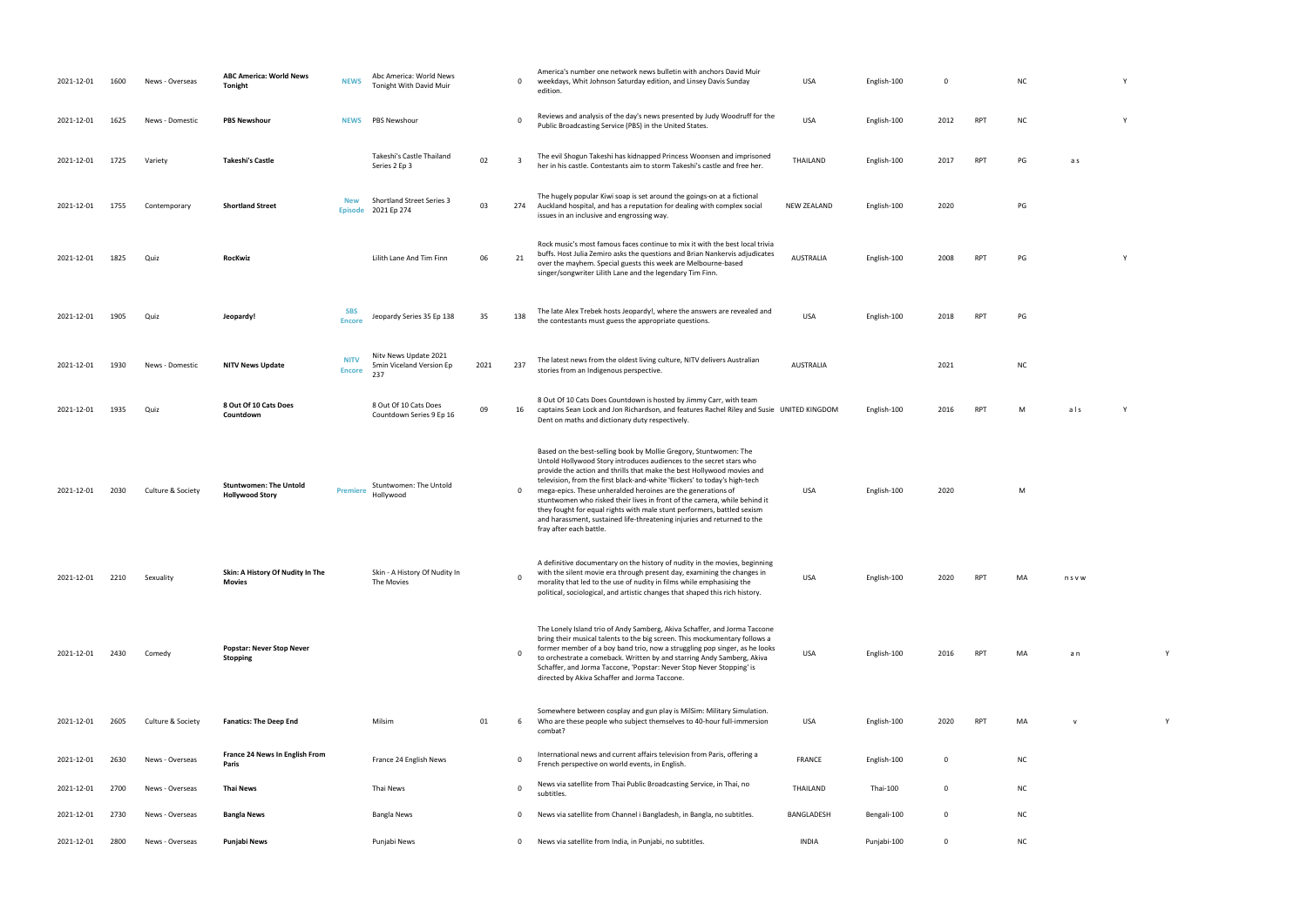| 2021-12-01 | 1600 | News - Overseas   | <b>ABC America: World News</b><br><b>Tonight</b>        | <b>NEWS</b>                  | Abc America: World News<br>Tonight With David Muir       |      | $\mathbf 0$    | America's number one network news bulletin with anchors David Muir<br>weekdays, Whit Johnson Saturday edition, and Linsey Davis Sunday<br>edition.                                                                                                                                                                                                                                                                                                                                                                                                                                                                             | <b>USA</b>         | English-100 | 0           |            | <b>NC</b> |             |  |
|------------|------|-------------------|---------------------------------------------------------|------------------------------|----------------------------------------------------------|------|----------------|--------------------------------------------------------------------------------------------------------------------------------------------------------------------------------------------------------------------------------------------------------------------------------------------------------------------------------------------------------------------------------------------------------------------------------------------------------------------------------------------------------------------------------------------------------------------------------------------------------------------------------|--------------------|-------------|-------------|------------|-----------|-------------|--|
| 2021-12-01 | 1625 | News - Domestic   | <b>PBS Newshour</b>                                     | <b>NEWS</b>                  | <b>PBS Newshour</b>                                      |      | $\Omega$       | Reviews and analysis of the day's news presented by Judy Woodruff for the<br>Public Broadcasting Service (PBS) in the United States.                                                                                                                                                                                                                                                                                                                                                                                                                                                                                           | <b>USA</b>         | English-100 | 2012        | RPT        | <b>NC</b> |             |  |
| 2021-12-01 | 1725 | Variety           | <b>Takeshi's Castle</b>                                 |                              | Takeshi's Castle Thailand<br>Series 2 Ep 3               | 02   | $\overline{3}$ | The evil Shogun Takeshi has kidnapped Princess Woonsen and imprisoned<br>her in his castle. Contestants aim to storm Takeshi's castle and free her.                                                                                                                                                                                                                                                                                                                                                                                                                                                                            | THAILAND           | English-100 | 2017        | <b>RPT</b> | PG        | a s         |  |
| 2021-12-01 | 1755 | Contemporary      | <b>Shortland Street</b>                                 | <b>New</b>                   | <b>Shortland Street Series 3</b><br>Episode 2021 Ep 274  | 03   | 274            | The hugely popular Kiwi soap is set around the goings-on at a fictional<br>Auckland hospital, and has a reputation for dealing with complex social<br>issues in an inclusive and engrossing way.                                                                                                                                                                                                                                                                                                                                                                                                                               | <b>NEW ZEALAND</b> | English-100 | 2020        |            | PG        |             |  |
| 2021-12-01 | 1825 | Quiz              | <b>RocKwiz</b>                                          |                              | Lilith Lane And Tim Finn                                 | 06   | 21             | Rock music's most famous faces continue to mix it with the best local trivia<br>buffs. Host Julia Zemiro asks the questions and Brian Nankervis adjudicates<br>over the mayhem. Special guests this week are Melbourne-based<br>singer/songwriter Lilith Lane and the legendary Tim Finn.                                                                                                                                                                                                                                                                                                                                      | <b>AUSTRALIA</b>   | English-100 | 2008        | <b>RPT</b> | PG        |             |  |
| 2021-12-01 | 1905 | Quiz              | Jeopardy!                                               | <b>SBS</b><br><b>Encore</b>  | Jeopardy Series 35 Ep 138                                | 35   | 138            | The late Alex Trebek hosts Jeopardy!, where the answers are revealed and<br>the contestants must guess the appropriate questions.                                                                                                                                                                                                                                                                                                                                                                                                                                                                                              | <b>USA</b>         | English-100 | 2018        | <b>RPT</b> | PG        |             |  |
| 2021-12-01 | 1930 | News - Domestic   | <b>NITV News Update</b>                                 | <b>NITV</b><br><b>Encore</b> | Nitv News Update 2021<br>5min Viceland Version Ep<br>237 | 2021 | 237            | The latest news from the oldest living culture, NITV delivers Australian<br>stories from an Indigenous perspective.                                                                                                                                                                                                                                                                                                                                                                                                                                                                                                            | <b>AUSTRALIA</b>   |             | 2021        |            | <b>NC</b> |             |  |
| 2021-12-01 | 1935 | Quiz              | 8 Out Of 10 Cats Does<br>Countdown                      |                              | 8 Out Of 10 Cats Does<br>Countdown Series 9 Ep 16        | 09   | 16             | 8 Out Of 10 Cats Does Countdown is hosted by Jimmy Carr, with team<br>captains Sean Lock and Jon Richardson, and features Rachel Riley and Susie UNITED KINGDOM<br>Dent on maths and dictionary duty respectively.                                                                                                                                                                                                                                                                                                                                                                                                             |                    | English-100 | 2016        | <b>RPT</b> | M         | als         |  |
| 2021-12-01 | 2030 | Culture & Society | <b>Stuntwomen: The Untold</b><br><b>Hollywood Story</b> | <b>Premiere</b>              | Stuntwomen: The Untold<br>Hollywood                      |      | $\mathbf 0$    | Based on the best-selling book by Mollie Gregory, Stuntwomen: The<br>Untold Hollywood Story introduces audiences to the secret stars who<br>provide the action and thrills that make the best Hollywood movies and<br>television, from the first black-and-white 'flickers' to today's high-tech<br>mega-epics. These unheralded heroines are the generations of<br>stuntwomen who risked their lives in front of the camera, while behind it<br>they fought for equal rights with male stunt performers, battled sexism<br>and harassment, sustained life-threatening injuries and returned to the<br>fray after each battle. | USA                | English-100 | 2020        |            | M         |             |  |
| 2021-12-01 | 2210 | Sexuality         | Skin: A History Of Nudity In The<br><b>Movies</b>       |                              | Skin - A History Of Nudity In<br>The Movies              |      | $\Omega$       | A definitive documentary on the history of nudity in the movies, beginning<br>with the silent movie era through present day, examining the changes in<br>morality that led to the use of nudity in films while emphasising the<br>political, sociological, and artistic changes that shaped this rich history.                                                                                                                                                                                                                                                                                                                 | <b>USA</b>         | English-100 | 2020        | <b>RPT</b> | MA        | nsvw        |  |
| 2021-12-01 | 2430 | Comedy            | <b>Popstar: Never Stop Never</b><br>Stopping            |                              |                                                          |      | 0              | The Lonely Island trio of Andy Samberg, Akiva Schaffer, and Jorma Taccone<br>bring their musical talents to the big screen. This mockumentary follows a<br>former member of a boy band trio, now a struggling pop singer, as he looks<br>to orchestrate a comeback. Written by and starring Andy Samberg, Akiva<br>Schaffer, and Jorma Taccone, 'Popstar: Never Stop Never Stopping' is<br>directed by Akiva Schaffer and Jorma Taccone.                                                                                                                                                                                       | USA                | English-100 | 2016        | <b>RPT</b> | MA        | a n         |  |
| 2021-12-01 | 2605 | Culture & Society | <b>Fanatics: The Deep End</b>                           |                              | Milsim                                                   | 01   | 6              | Somewhere between cosplay and gun play is MilSim: Military Simulation.<br>Who are these people who subject themselves to 40-hour full-immersion<br>combat?                                                                                                                                                                                                                                                                                                                                                                                                                                                                     | USA                | English-100 | 2020        | <b>RPT</b> | MA        | $\mathbf v$ |  |
| 2021-12-01 | 2630 | News - Overseas   | France 24 News In English From<br>Paris                 |                              | France 24 English News                                   |      | 0              | International news and current affairs television from Paris, offering a<br>French perspective on world events, in English.                                                                                                                                                                                                                                                                                                                                                                                                                                                                                                    | <b>FRANCE</b>      | English-100 | $\mathbf 0$ |            | <b>NC</b> |             |  |
| 2021-12-01 | 2700 | News - Overseas   | <b>Thai News</b>                                        |                              | Thai News                                                |      | $\mathbf{0}$   | News via satellite from Thai Public Broadcasting Service, in Thai, no<br>subtitles.                                                                                                                                                                                                                                                                                                                                                                                                                                                                                                                                            | THAILAND           | Thai-100    | $\mathbf 0$ |            | <b>NC</b> |             |  |
| 2021-12-01 | 2730 | News - Overseas   | <b>Bangla News</b>                                      |                              | <b>Bangla News</b>                                       |      | $\mathbf 0$    | News via satellite from Channel i Bangladesh, in Bangla, no subtitles.                                                                                                                                                                                                                                                                                                                                                                                                                                                                                                                                                         | BANGLADESH         | Bengali-100 | $\mathbf 0$ |            | <b>NC</b> |             |  |
| 2021-12-01 | 2800 | News - Overseas   | Punjabi News                                            |                              | Punjabi News                                             |      | $\mathbf 0$    | News via satellite from India, in Punjabi, no subtitles.                                                                                                                                                                                                                                                                                                                                                                                                                                                                                                                                                                       | <b>INDIA</b>       | Punjabi-100 | $\mathbf 0$ |            | <b>NC</b> |             |  |

- 
- 
- 
- 
- RPT PG Y
	-
	-
	-
- RPT M als Y
	-
	-
	-
- PT MA n s v w
	-
- PT MA an Y
- PT MA v Y Y
	-
	-
	-
	-
- 
- 
- 
- 
- 
- 
- 
- 
- 
- 
- 
- 
- 
- 
- 
-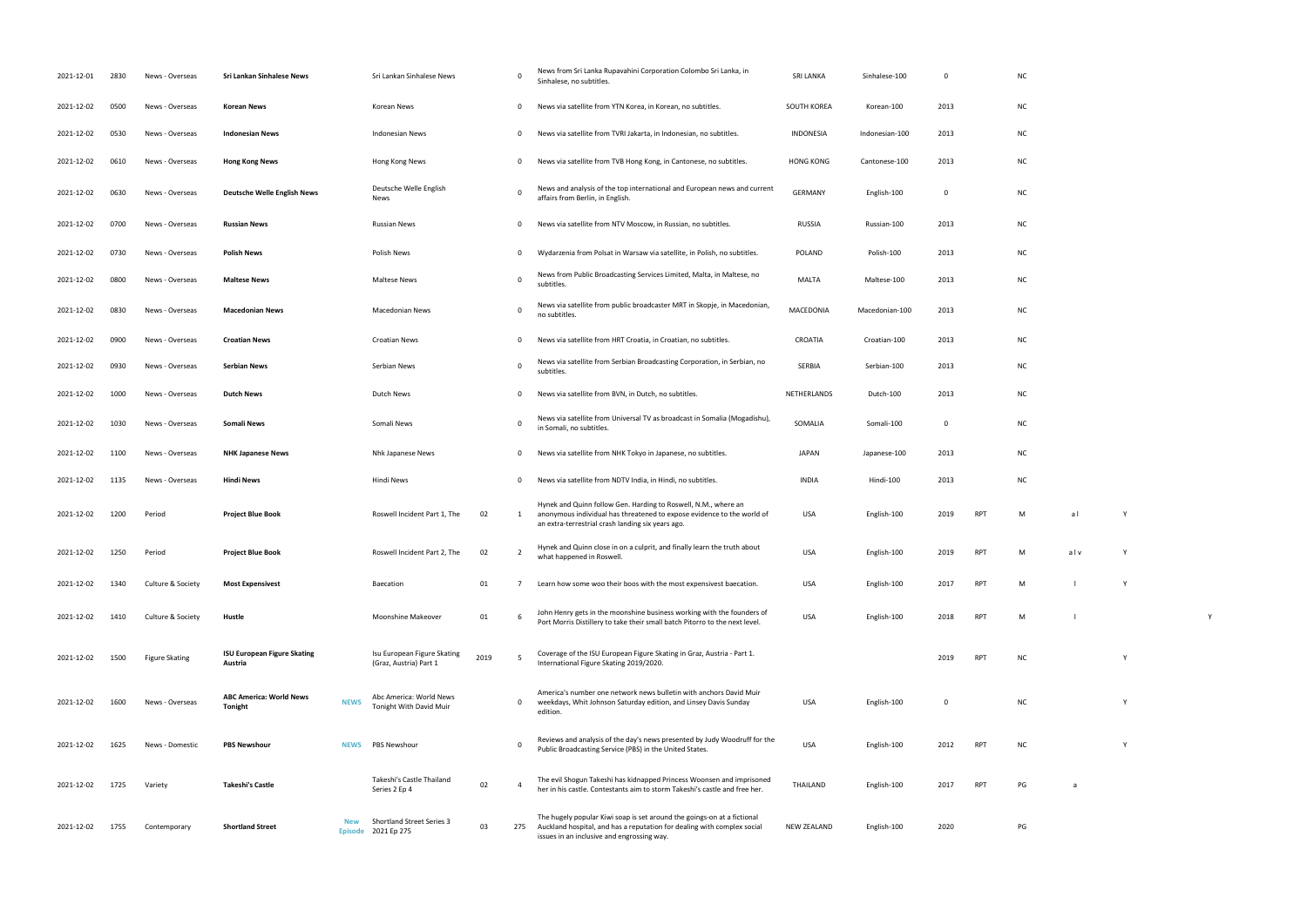| 2021-12-01 | 2830 | News - Overseas       | Sri Lankan Sinhalese News                     |             | Sri Lankan Sinhalese News                               |      |                | News from Sri Lanka Rupavahini Corporation Colombo Sri Lanka, in<br>Sinhalese, no subtitles.                                                                                                     | <b>SRI LANKA</b> | Sinhalese-100  | 0            |            | <b>NC</b> |     |   |  |
|------------|------|-----------------------|-----------------------------------------------|-------------|---------------------------------------------------------|------|----------------|--------------------------------------------------------------------------------------------------------------------------------------------------------------------------------------------------|------------------|----------------|--------------|------------|-----------|-----|---|--|
| 2021-12-02 | 0500 | News - Overseas       | Korean News                                   |             | Korean News                                             |      | 0              | News via satellite from YTN Korea, in Korean, no subtitles.                                                                                                                                      | SOUTH KOREA      | Korean-100     | 2013         |            | <b>NC</b> |     |   |  |
| 2021-12-02 | 0530 | News - Overseas       | <b>Indonesian News</b>                        |             | Indonesian News                                         |      | $\mathbf{0}$   | News via satellite from TVRI Jakarta, in Indonesian, no subtitles.                                                                                                                               | INDONESIA        | Indonesian-100 | 2013         |            | <b>NC</b> |     |   |  |
| 2021-12-02 | 0610 | News - Overseas       | <b>Hong Kong News</b>                         |             | Hong Kong News                                          |      | $\mathbf{0}$   | News via satellite from TVB Hong Kong, in Cantonese, no subtitles.                                                                                                                               | <b>HONG KONG</b> | Cantonese-100  | 2013         |            | <b>NC</b> |     |   |  |
| 2021-12-02 | 0630 | News - Overseas       | <b>Deutsche Welle English News</b>            |             | Deutsche Welle English<br>News                          |      | $\Omega$       | News and analysis of the top international and European news and current<br>affairs from Berlin, in English.                                                                                     | <b>GERMANY</b>   | English-100    | $\mathbf{0}$ |            | <b>NC</b> |     |   |  |
| 2021-12-02 | 0700 | News - Overseas       | <b>Russian News</b>                           |             | <b>Russian News</b>                                     |      | 0              | News via satellite from NTV Moscow, in Russian, no subtitles.                                                                                                                                    | RUSSIA           | Russian-100    | 2013         |            | <b>NC</b> |     |   |  |
| 2021-12-02 | 0730 | News - Overseas       | <b>Polish News</b>                            |             | Polish News                                             |      | $\mathbf{0}$   | Wydarzenia from Polsat in Warsaw via satellite, in Polish, no subtitles.                                                                                                                         | POLAND           | Polish-100     | 2013         |            | <b>NC</b> |     |   |  |
| 2021-12-02 | 0800 | News - Overseas       | <b>Maltese News</b>                           |             | <b>Maltese News</b>                                     |      | 0              | News from Public Broadcasting Services Limited, Malta, in Maltese, no<br>subtitles.                                                                                                              | MALTA            | Maltese-100    | 2013         |            | <b>NC</b> |     |   |  |
| 2021-12-02 | 0830 | News - Overseas       | <b>Macedonian News</b>                        |             | <b>Macedonian News</b>                                  |      | $\Omega$       | News via satellite from public broadcaster MRT in Skopje, in Macedonian,<br>no subtitles.                                                                                                        | MACEDONIA        | Macedonian-100 | 2013         |            | <b>NC</b> |     |   |  |
| 2021-12-02 | 0900 | News - Overseas       | <b>Croatian News</b>                          |             | <b>Croatian News</b>                                    |      | - 0            | News via satellite from HRT Croatia, in Croatian, no subtitles.                                                                                                                                  | CROATIA          | Croatian-100   | 2013         |            | <b>NC</b> |     |   |  |
| 2021-12-02 | 0930 | News - Overseas       | Serbian News                                  |             | Serbian News                                            |      | 0              | News via satellite from Serbian Broadcasting Corporation, in Serbian, no<br>subtitles.                                                                                                           | SERBIA           | Serbian-100    | 2013         |            | <b>NC</b> |     |   |  |
| 2021-12-02 | 1000 | News - Overseas       | <b>Dutch News</b>                             |             | Dutch News                                              |      | 0              | News via satellite from BVN, in Dutch, no subtitles.                                                                                                                                             | NETHERLANDS      | Dutch-100      | 2013         |            | <b>NC</b> |     |   |  |
| 2021-12-02 | 1030 | News - Overseas       | <b>Somali News</b>                            |             | Somali News                                             |      | $\Omega$       | News via satellite from Universal TV as broadcast in Somalia (Mogadishu),<br>in Somali, no subtitles.                                                                                            | SOMALIA          | Somali-100     | $\mathbf{0}$ |            | <b>NC</b> |     |   |  |
| 2021-12-02 | 1100 | News - Overseas       | <b>NHK Japanese News</b>                      |             | Nhk Japanese News                                       |      | $\mathbf{0}$   | News via satellite from NHK Tokyo in Japanese, no subtitles.                                                                                                                                     | <b>JAPAN</b>     | Japanese-100   | 2013         |            | <b>NC</b> |     |   |  |
| 2021-12-02 | 1135 | News - Overseas       | Hindi News                                    |             | Hindi News                                              |      | 0              | News via satellite from NDTV India, in Hindi, no subtitles.                                                                                                                                      | <b>INDIA</b>     | Hindi-100      | 2013         |            | <b>NC</b> |     |   |  |
| 2021-12-02 | 1200 | Period                | <b>Project Blue Book</b>                      |             | Roswell Incident Part 1, The                            | 02   | 1              | Hynek and Quinn follow Gen. Harding to Roswell, N.M., where an<br>anonymous individual has threatened to expose evidence to the world of<br>an extra-terrestrial crash landing six years ago.    | USA              | English-100    | 2019         | <b>RPT</b> | M         | al  | Y |  |
| 2021-12-02 | 1250 | Period                | <b>Project Blue Book</b>                      |             | Roswell Incident Part 2, The                            | 02   |                | Hynek and Quinn close in on a culprit, and finally learn the truth about<br>what happened in Roswell.                                                                                            | <b>USA</b>       | English-100    | 2019         | RPT        | M         | alv | Y |  |
| 2021-12-02 | 1340 | Culture & Society     | <b>Most Expensivest</b>                       |             | Baecation                                               | 01   | 7              | Learn how some woo their boos with the most expensivest baecation.                                                                                                                               | USA              | English-100    | 2017         | <b>RPT</b> | M         |     | Y |  |
| 2021-12-02 | 1410 | Culture & Society     | Hustle                                        |             | Moonshine Makeover                                      | 01   | -6             | John Henry gets in the moonshine business working with the founders of<br>Port Morris Distillery to take their small batch Pitorro to the next level.                                            | USA              | English-100    | 2018         | <b>RPT</b> | M         |     |   |  |
| 2021-12-02 | 1500 | <b>Figure Skating</b> | <b>ISU European Figure Skating</b><br>Austria |             | Isu European Figure Skating<br>(Graz, Austria) Part 1   | 2019 | 5              | Coverage of the ISU European Figure Skating in Graz, Austria - Part 1.<br>International Figure Skating 2019/2020.                                                                                |                  |                | 2019         | <b>RPT</b> | <b>NC</b> |     | Y |  |
| 2021-12-02 | 1600 | News - Overseas       | <b>ABC America: World News</b><br>Tonight     | <b>NEWS</b> | Abc America: World News<br>Tonight With David Muir      |      | $\Omega$       | America's number one network news bulletin with anchors David Muir<br>weekdays, Whit Johnson Saturday edition, and Linsey Davis Sunday<br>edition.                                               | USA              | English-100    | $\mathbf 0$  |            | <b>NC</b> |     | Y |  |
| 2021-12-02 | 1625 | News - Domestic       | <b>PBS Newshour</b>                           | <b>NEWS</b> | <b>PBS Newshour</b>                                     |      |                | Reviews and analysis of the day's news presented by Judy Woodruff for the<br>Public Broadcasting Service (PBS) in the United States.                                                             | USA              | English-100    | 2012         | <b>RPT</b> | <b>NC</b> |     | Y |  |
| 2021-12-02 | 1725 | Variety               | Takeshi's Castle                              |             | Takeshi's Castle Thailand<br>Series 2 Ep 4              | 02   | $\overline{4}$ | The evil Shogun Takeshi has kidnapped Princess Woonsen and imprisoned<br>her in his castle. Contestants aim to storm Takeshi's castle and free her.                                              | THAILAND         | English-100    | 2017         | RPT        | PG        | a   |   |  |
| 2021-12-02 | 1755 | Contemporary          | <b>Shortland Street</b>                       |             | <b>Shortland Street Series 3</b><br>Episode 2021 Ep 275 | 03   | 275            | The hugely popular Kiwi soap is set around the goings-on at a fictional<br>Auckland hospital, and has a reputation for dealing with complex social<br>issues in an inclusive and engrossing way. | NEW ZEALAND      | English-100    | 2020         |            | PG        |     |   |  |

| NC            |                |   |              |
|---------------|----------------|---|--------------|
| NC            |                |   |              |
| NC            |                |   |              |
| NC            |                |   |              |
| NC            |                |   |              |
| NC            |                |   |              |
| NC            |                |   |              |
| NC            |                |   |              |
| NC            |                |   |              |
| NC            |                |   |              |
| NC            |                |   |              |
| NC            |                |   |              |
| NC            |                |   |              |
| NC            |                |   |              |
| NC            |                |   |              |
| $\mathsf{M}$  | a <sub>l</sub> | Y |              |
| M             | alv            | Y |              |
| $\mathsf{M}$  |                | Y |              |
| $\mathsf{M}$  | $\mathbf{I}$   |   | $\mathsf{Y}$ |
| NC            |                | Y |              |
| NC            |                | Y |              |
| NC            |                | Y |              |
| $\mathsf{PG}$ | a              |   |              |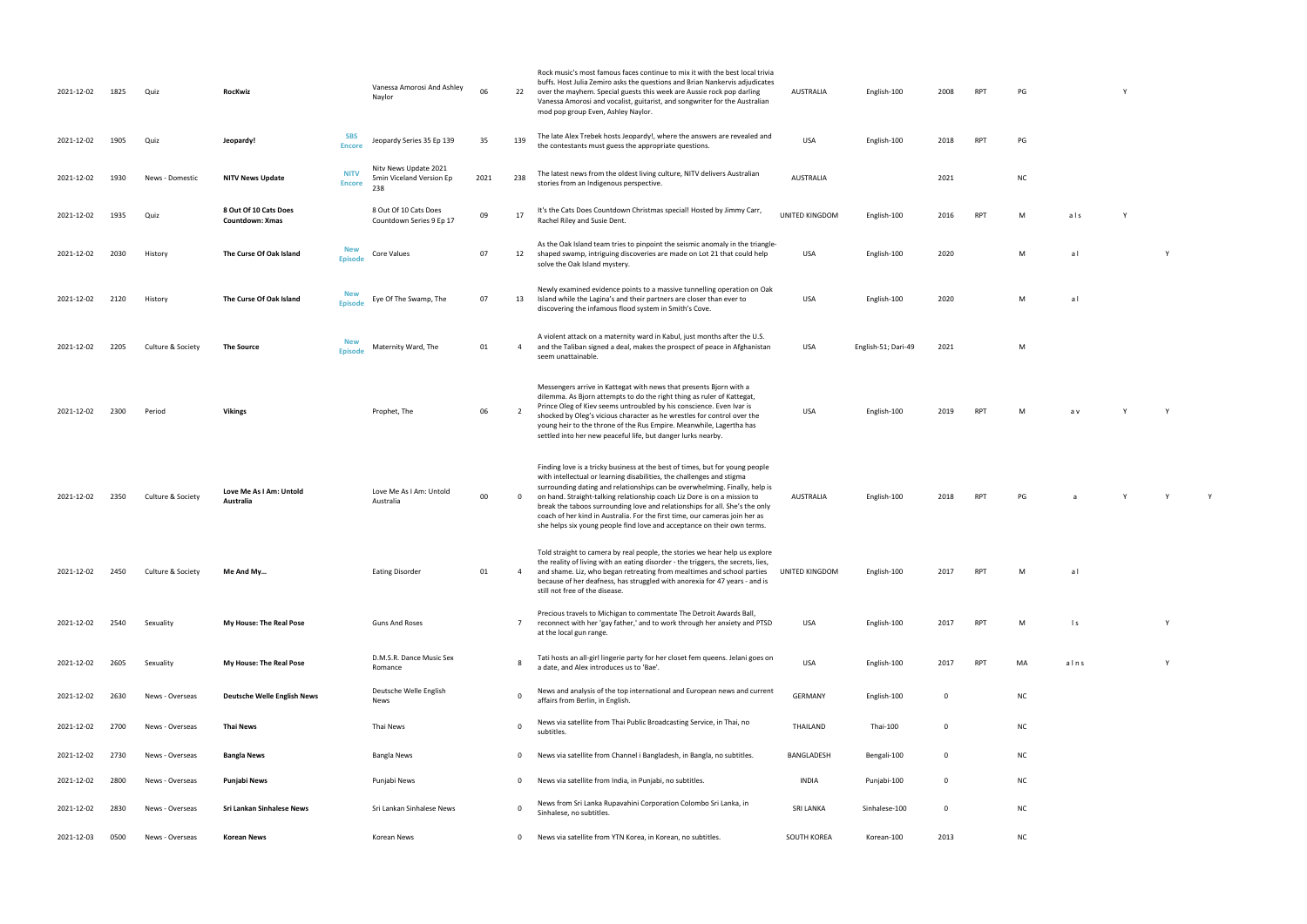| 2021-12-02 | 1825 | Quiz              | RocKwiz                                         |                              | Vanessa Amorosi And Ashley<br>Naylor                     | 06   | 22       | Rock music's most famous faces continue to mix it with the best local trivia<br>buffs. Host Julia Zemiro asks the questions and Brian Nankervis adjudicates<br>over the mayhem. Special guests this week are Aussie rock pop darling<br>Vanessa Amorosi and vocalist, guitarist, and songwriter for the Australian<br>mod pop group Even, Ashley Naylor.                                                                                                                                                                                                 | <b>AUSTRALIA</b> | English-100         | 2008        | <b>RPT</b> | PG        |              |  |
|------------|------|-------------------|-------------------------------------------------|------------------------------|----------------------------------------------------------|------|----------|----------------------------------------------------------------------------------------------------------------------------------------------------------------------------------------------------------------------------------------------------------------------------------------------------------------------------------------------------------------------------------------------------------------------------------------------------------------------------------------------------------------------------------------------------------|------------------|---------------------|-------------|------------|-----------|--------------|--|
| 2021-12-02 | 1905 | Quiz              | Jeopardy!                                       | <b>SBS</b><br><b>Encore</b>  | Jeopardy Series 35 Ep 139                                | 35   | 139      | The late Alex Trebek hosts Jeopardy!, where the answers are revealed and<br>the contestants must guess the appropriate questions.                                                                                                                                                                                                                                                                                                                                                                                                                        | USA              | English-100         | 2018        | <b>RPT</b> | PG        |              |  |
| 2021-12-02 | 1930 | News - Domestic   | <b>NITV News Update</b>                         | <b>NITV</b><br><b>Encore</b> | Nity News Update 2021<br>5min Viceland Version Ep<br>238 | 2021 | 238      | The latest news from the oldest living culture, NITV delivers Australian<br>stories from an Indigenous perspective.                                                                                                                                                                                                                                                                                                                                                                                                                                      | AUSTRALIA        |                     | 2021        |            | <b>NC</b> |              |  |
| 2021-12-02 | 1935 | Quiz              | 8 Out Of 10 Cats Does<br><b>Countdown: Xmas</b> |                              | 8 Out Of 10 Cats Does<br>Countdown Series 9 Ep 17        | 09   | 17       | It's the Cats Does Countdown Christmas special! Hosted by Jimmy Carr,<br>Rachel Riley and Susie Dent.                                                                                                                                                                                                                                                                                                                                                                                                                                                    | UNITED KINGDOM   | English-100         | 2016        | <b>RPT</b> | М         | als          |  |
| 2021-12-02 | 2030 | History           | The Curse Of Oak Island                         | <b>New</b><br><b>Episode</b> | Core Values                                              | 07   | 12       | As the Oak Island team tries to pinpoint the seismic anomaly in the triangle-<br>shaped swamp, intriguing discoveries are made on Lot 21 that could help<br>solve the Oak Island mystery.                                                                                                                                                                                                                                                                                                                                                                | USA              | English-100         | 2020        |            | М         | al           |  |
| 2021-12-02 | 2120 | History           | The Curse Of Oak Island                         | <b>New</b><br><b>Episode</b> | Eye Of The Swamp, The                                    | 07   | 13       | Newly examined evidence points to a massive tunnelling operation on Oak<br>Island while the Lagina's and their partners are closer than ever to<br>discovering the infamous flood system in Smith's Cove.                                                                                                                                                                                                                                                                                                                                                | USA              | English-100         | 2020        |            | М         | al           |  |
| 2021-12-02 | 2205 | Culture & Society | <b>The Source</b>                               | <b>New</b><br><b>Episode</b> | Maternity Ward, The                                      | 01   | 4        | A violent attack on a maternity ward in Kabul, just months after the U.S.<br>and the Taliban signed a deal, makes the prospect of peace in Afghanistan<br>seem unattainable.                                                                                                                                                                                                                                                                                                                                                                             | USA              | English-51; Dari-49 | 2021        |            | М         |              |  |
| 2021-12-02 | 2300 | Period            | <b>Vikings</b>                                  |                              | Prophet, The                                             | 06   | 2        | Messengers arrive in Kattegat with news that presents Bjorn with a<br>dilemma. As Bjorn attempts to do the right thing as ruler of Kattegat,<br>Prince Oleg of Kiev seems untroubled by his conscience. Even Ivar is<br>shocked by Oleg's vicious character as he wrestles for control over the<br>young heir to the throne of the Rus Empire. Meanwhile, Lagertha has<br>settled into her new peaceful life, but danger lurks nearby.                                                                                                                   | USA              | English-100         | 2019        | <b>RPT</b> | M         | a v          |  |
| 2021-12-02 | 2350 | Culture & Society | Love Me As I Am: Untold<br>Australia            |                              | Love Me As I Am: Untold<br>Australia                     | 00   | 0        | Finding love is a tricky business at the best of times, but for young people<br>with intellectual or learning disabilities, the challenges and stigma<br>surrounding dating and relationships can be overwhelming. Finally, help is<br>on hand. Straight-talking relationship coach Liz Dore is on a mission to<br>break the taboos surrounding love and relationships for all. She's the only<br>coach of her kind in Australia. For the first time, our cameras join her as<br>she helps six young people find love and acceptance on their own terms. | <b>AUSTRALIA</b> | English-100         | 2018        | <b>RPT</b> | PG        |              |  |
| 2021-12-02 | 2450 | Culture & Society | Me And My                                       |                              | <b>Eating Disorder</b>                                   | 01   | -4       | Told straight to camera by real people, the stories we hear help us explore<br>the reality of living with an eating disorder - the triggers, the secrets, lies,<br>and shame. Liz, who began retreating from mealtimes and school parties<br>because of her deafness, has struggled with anorexia for 47 years - and is<br>still not free of the disease.                                                                                                                                                                                                | UNITED KINGDOM   | English-100         | 2017        | RPT        | M         | a l          |  |
| 2021-12-02 | 2540 | Sexuality         | My House: The Real Pose                         |                              | <b>Guns And Roses</b>                                    |      | 7        | Precious travels to Michigan to commentate The Detroit Awards Ball,<br>reconnect with her 'gay father,' and to work through her anxiety and PTSD<br>at the local gun range.                                                                                                                                                                                                                                                                                                                                                                              | USA              | English-100         | 2017        | <b>RPT</b> | М         | $\mathsf{I}$ |  |
| 2021-12-02 | 2605 | Sexuality         | My House: The Real Pose                         |                              | D.M.S.R. Dance Music Sex<br>Romance                      |      |          | Tati hosts an all-girl lingerie party for her closet fem queens. Jelani goes on<br>a date, and Alex introduces us to 'Bae'.                                                                                                                                                                                                                                                                                                                                                                                                                              | USA              | English-100         | 2017        | <b>RPT</b> | MA        | alns         |  |
| 2021-12-02 | 2630 | News - Overseas   | <b>Deutsche Welle English News</b>              |                              | Deutsche Welle English<br>News                           |      | $\Omega$ | News and analysis of the top international and European news and current<br>affairs from Berlin, in English.                                                                                                                                                                                                                                                                                                                                                                                                                                             | <b>GERMANY</b>   | English-100         | 0           |            | <b>NC</b> |              |  |
| 2021-12-02 | 2700 | News - Overseas   | Thai News                                       |                              | Thai News                                                |      | $\Omega$ | News via satellite from Thai Public Broadcasting Service, in Thai, no<br>subtitles.                                                                                                                                                                                                                                                                                                                                                                                                                                                                      | THAILAND         | Thai-100            | $\mathbf 0$ |            | <b>NC</b> |              |  |
| 2021-12-02 | 2730 | News - Overseas   | Bangla News                                     |                              | Bangla News                                              |      | 0        | News via satellite from Channel i Bangladesh, in Bangla, no subtitles.                                                                                                                                                                                                                                                                                                                                                                                                                                                                                   | BANGLADESH       | Bengali-100         | 0           |            | <b>NC</b> |              |  |
| 2021-12-02 | 2800 | News - Overseas   | Punjabi News                                    |                              | Punjabi News                                             |      | 0        | News via satellite from India, in Punjabi, no subtitles.                                                                                                                                                                                                                                                                                                                                                                                                                                                                                                 | INDIA            | Punjabi-100         | 0           |            | <b>NC</b> |              |  |
| 2021-12-02 | 2830 | News - Overseas   | Sri Lankan Sinhalese News                       |                              | Sri Lankan Sinhalese News                                |      | $\Omega$ | News from Sri Lanka Rupavahini Corporation Colombo Sri Lanka, in<br>Sinhalese, no subtitles.                                                                                                                                                                                                                                                                                                                                                                                                                                                             | <b>SRI LANKA</b> | Sinhalese-100       | 0           |            | <b>NC</b> |              |  |
| 2021-12-03 | 0500 | News - Overseas   | <b>Korean News</b>                              |                              | Korean News                                              |      | $\Omega$ | News via satellite from YTN Korea, in Korean, no subtitles.                                                                                                                                                                                                                                                                                                                                                                                                                                                                                              | SOUTH KOREA      | Korean-100          | 2013        |            | <b>NC</b> |              |  |

| AUSTRALIA   | English-100         | 2008      | RPT | $\mathsf{PG}$ |                  | $\mathsf Y$ |             |             |  |
|-------------|---------------------|-----------|-----|---------------|------------------|-------------|-------------|-------------|--|
| USA         | English-100         | 2018      | RPT | $\mathsf{PG}$ |                  |             |             |             |  |
| AUSTRALIA   |                     | 2021      |     | ${\sf NC}$    |                  |             |             |             |  |
| TED KINGDOM | English-100         | 2016      | RPT | М             | a <sub>l</sub> s | $\mathsf Y$ |             |             |  |
| USA         | English-100         | 2020      |     | М             | a <sub>l</sub>   |             | $\mathsf Y$ |             |  |
| USA         | English-100         | 2020      |     | М             | a <sub>l</sub>   |             |             |             |  |
| USA         | English-51; Dari-49 | 2021      |     | ${\sf M}$     |                  |             |             |             |  |
| <b>USA</b>  | English-100         | 2019      | RPT | М             | a v              | Y           | $\mathsf Y$ |             |  |
| AUSTRALIA   | English-100         | 2018      | RPT | $\mathsf{PG}$ | $\mathsf a$      | $\mathsf Y$ | $\mathsf Y$ | $\mathsf Y$ |  |
| TED KINGDOM | English-100         | 2017      | RPT | М             | a <sub>l</sub>   |             |             |             |  |
| USA         | English-100         | 2017      | RPT | M             | $\mathsf{I}$ s   |             | $\mathsf Y$ |             |  |
| USA         | English-100         | 2017      | RPT | MA            | $a \ln s$        |             | $\mathsf Y$ |             |  |
| GERMANY     | English-100         | $\pmb{0}$ |     | $\sf NC$      |                  |             |             |             |  |
| THAILAND    | Thai- $100$         | 0         |     | ${\sf NC}$    |                  |             |             |             |  |
| ANGLADESH   | Bengali-100         | 0         |     | ${\sf NC}$    |                  |             |             |             |  |
| INDIA       | Punjabi-100         | $\pmb{0}$ |     | ${\sf NC}$    |                  |             |             |             |  |
| SRI LANKA   | Sinhalese-100       | $\bf{0}$  |     | $\sf NC$      |                  |             |             |             |  |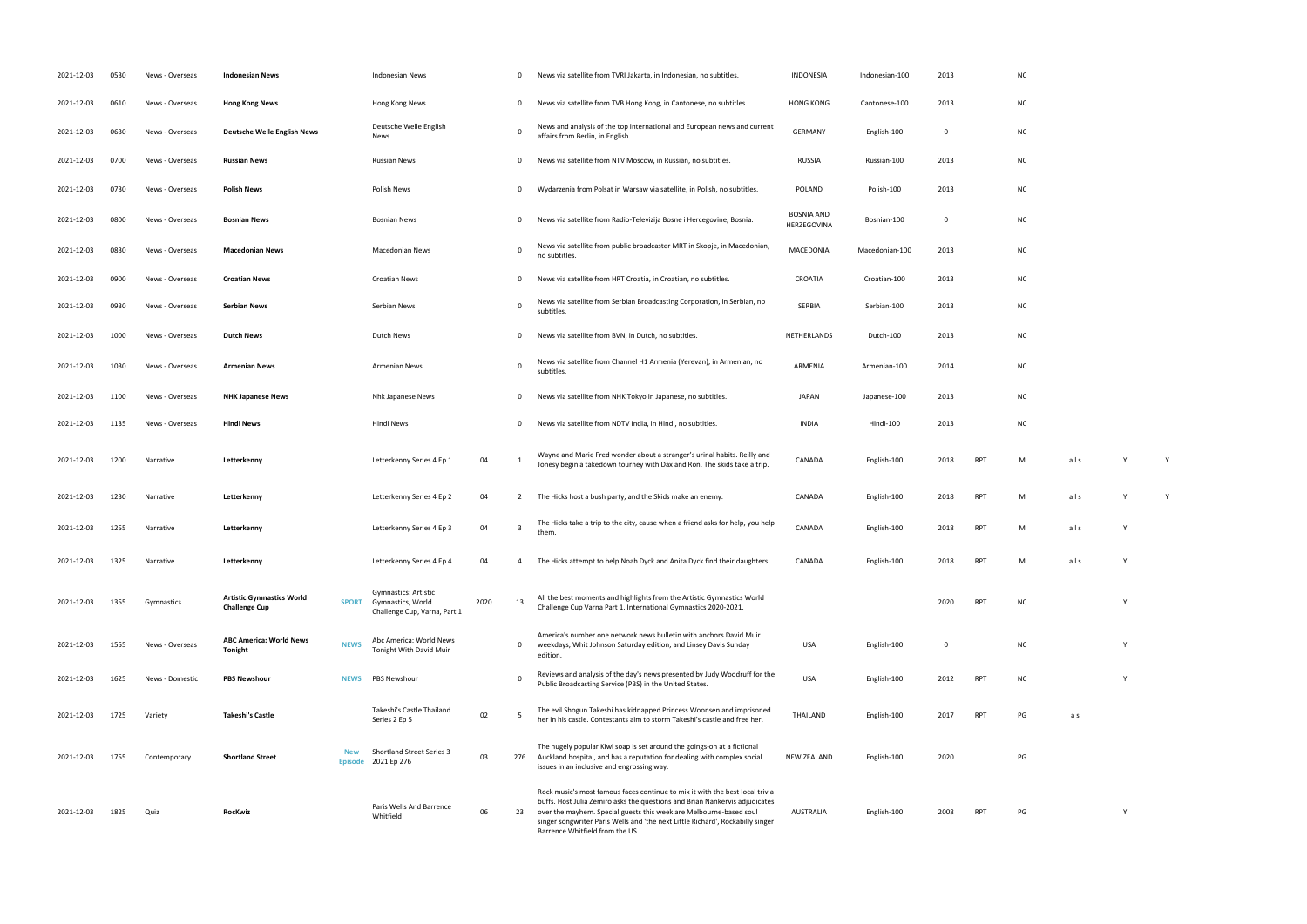| 2021-12-03 | 0530 | News - Overseas | <b>Indonesian News</b>                                   |                              | <b>Indonesian News</b>                                                           |      | 0           | News via satellite from TVRI Jakarta, in Indonesian, no subtitles.                                                                                                                                                                                                                                                                                     | <b>INDONESIA</b>                 | Indonesian-100 | 2013        |            | <b>NC</b> |     |  |
|------------|------|-----------------|----------------------------------------------------------|------------------------------|----------------------------------------------------------------------------------|------|-------------|--------------------------------------------------------------------------------------------------------------------------------------------------------------------------------------------------------------------------------------------------------------------------------------------------------------------------------------------------------|----------------------------------|----------------|-------------|------------|-----------|-----|--|
| 2021-12-03 | 0610 | News - Overseas | <b>Hong Kong News</b>                                    |                              | Hong Kong News                                                                   |      | 0           | News via satellite from TVB Hong Kong, in Cantonese, no subtitles.                                                                                                                                                                                                                                                                                     | <b>HONG KONG</b>                 | Cantonese-100  | 2013        |            | <b>NC</b> |     |  |
| 2021-12-03 | 0630 | News - Overseas | <b>Deutsche Welle English News</b>                       |                              | Deutsche Welle English<br>News                                                   |      | $\Omega$    | News and analysis of the top international and European news and current<br>affairs from Berlin, in English.                                                                                                                                                                                                                                           | <b>GERMANY</b>                   | English-100    | 0           |            | <b>NC</b> |     |  |
| 2021-12-03 | 0700 | News - Overseas | <b>Russian News</b>                                      |                              | Russian News                                                                     |      | 0           | News via satellite from NTV Moscow, in Russian, no subtitles.                                                                                                                                                                                                                                                                                          | <b>RUSSIA</b>                    | Russian-100    | 2013        |            | <b>NC</b> |     |  |
| 2021-12-03 | 0730 | News - Overseas | <b>Polish News</b>                                       |                              | Polish News                                                                      |      | 0           | Wydarzenia from Polsat in Warsaw via satellite, in Polish, no subtitles.                                                                                                                                                                                                                                                                               | <b>POLAND</b>                    | Polish-100     | 2013        |            | <b>NC</b> |     |  |
| 2021-12-03 | 0800 | News - Overseas | <b>Bosnian News</b>                                      |                              | <b>Bosnian News</b>                                                              |      | 0           | News via satellite from Radio-Televizija Bosne i Hercegovine, Bosnia.                                                                                                                                                                                                                                                                                  | <b>BOSNIA AND</b><br>HERZEGOVINA | Bosnian-100    | 0           |            | <b>NC</b> |     |  |
| 2021-12-03 | 0830 | News - Overseas | <b>Macedonian News</b>                                   |                              | Macedonian News                                                                  |      | 0           | News via satellite from public broadcaster MRT in Skopje, in Macedonian,<br>no subtitles.                                                                                                                                                                                                                                                              | MACEDONIA                        | Macedonian-100 | 2013        |            | <b>NC</b> |     |  |
| 2021-12-03 | 0900 | News - Overseas | <b>Croatian News</b>                                     |                              | <b>Croatian News</b>                                                             |      | 0           | News via satellite from HRT Croatia, in Croatian, no subtitles.                                                                                                                                                                                                                                                                                        | CROATIA                          | Croatian-100   | 2013        |            | <b>NC</b> |     |  |
| 2021-12-03 | 0930 | News - Overseas | <b>Serbian News</b>                                      |                              | Serbian News                                                                     |      | 0           | News via satellite from Serbian Broadcasting Corporation, in Serbian, no<br>subtitles.                                                                                                                                                                                                                                                                 | <b>SERBIA</b>                    | Serbian-100    | 2013        |            | <b>NC</b> |     |  |
| 2021-12-03 | 1000 | News - Overseas | <b>Dutch News</b>                                        |                              | Dutch News                                                                       |      | 0           | News via satellite from BVN, in Dutch, no subtitles.                                                                                                                                                                                                                                                                                                   | NETHERLANDS                      | Dutch-100      | 2013        |            | <b>NC</b> |     |  |
| 2021-12-03 | 1030 | News - Overseas | <b>Armenian News</b>                                     |                              | <b>Armenian News</b>                                                             |      | $\mathbf 0$ | News via satellite from Channel H1 Armenia (Yerevan), in Armenian, no<br>subtitles.                                                                                                                                                                                                                                                                    | ARMENIA                          | Armenian-100   | 2014        |            | <b>NC</b> |     |  |
| 2021-12-03 | 1100 | News - Overseas | <b>NHK Japanese News</b>                                 |                              | Nhk Japanese News                                                                |      | 0           | News via satellite from NHK Tokyo in Japanese, no subtitles.                                                                                                                                                                                                                                                                                           | <b>JAPAN</b>                     | Japanese-100   | 2013        |            | <b>NC</b> |     |  |
| 2021-12-03 | 1135 | News - Overseas | <b>Hindi News</b>                                        |                              | Hindi News                                                                       |      | 0           | News via satellite from NDTV India, in Hindi, no subtitles.                                                                                                                                                                                                                                                                                            | <b>INDIA</b>                     | Hindi-100      | 2013        |            | <b>NC</b> |     |  |
| 2021-12-03 | 1200 | Narrative       | Letterkenny                                              |                              | Letterkenny Series 4 Ep 1                                                        | 04   | 1           | Wayne and Marie Fred wonder about a stranger's urinal habits. Reilly and<br>Jonesy begin a takedown tourney with Dax and Ron. The skids take a trip.                                                                                                                                                                                                   | CANADA                           | English-100    | 2018        | <b>RPT</b> | M         | als |  |
| 2021-12-03 | 1230 | Narrative       | Letterkenny                                              |                              | Letterkenny Series 4 Ep 2                                                        | 04   | 2           | The Hicks host a bush party, and the Skids make an enemy.                                                                                                                                                                                                                                                                                              | CANADA                           | English-100    | 2018        | <b>RPT</b> | M         | als |  |
| 2021-12-03 | 1255 | Narrative       | Letterkenny                                              |                              | Letterkenny Series 4 Ep 3                                                        | 04   | 3           | The Hicks take a trip to the city, cause when a friend asks for help, you help<br>them                                                                                                                                                                                                                                                                 | CANADA                           | English-100    | 2018        | <b>RPT</b> | M         | als |  |
| 2021-12-03 | 1325 | Narrative       | Letterkenny                                              |                              | Letterkenny Series 4 Ep 4                                                        | 04   | 4           | The Hicks attempt to help Noah Dyck and Anita Dyck find their daughters.                                                                                                                                                                                                                                                                               | CANADA                           | English-100    | 2018        | <b>RPT</b> | M         | als |  |
| 2021-12-03 | 1355 | Gymnastics      | <b>Artistic Gymnastics World</b><br><b>Challenge Cup</b> | <b>SPORT</b>                 | <b>Gymnastics: Artistic</b><br>Gymnastics, World<br>Challenge Cup, Varna, Part 1 | 2020 | 13          | All the best moments and highlights from the Artistic Gymnastics World<br>Challenge Cup Varna Part 1. International Gymnastics 2020-2021.                                                                                                                                                                                                              |                                  |                | 2020        | <b>RPT</b> | <b>NC</b> |     |  |
| 2021-12-03 | 1555 | News - Overseas | <b>ABC America: World News</b><br><b>Tonight</b>         | <b>NEWS</b>                  | Abc America: World News<br>Tonight With David Muir                               |      | $\mathbf 0$ | America's number one network news bulletin with anchors David Muir<br>weekdays, Whit Johnson Saturday edition, and Linsey Davis Sunday<br>edition.                                                                                                                                                                                                     | USA                              | English-100    | $\mathbf 0$ |            | <b>NC</b> |     |  |
| 2021-12-03 | 1625 | News - Domestic | <b>PBS Newshour</b>                                      | <b>NEWS</b>                  | PBS Newshour                                                                     |      | $\mathbf 0$ | Reviews and analysis of the day's news presented by Judy Woodruff for the<br>Public Broadcasting Service (PBS) in the United States.                                                                                                                                                                                                                   | USA                              | English-100    | 2012        | <b>RPT</b> | <b>NC</b> |     |  |
| 2021-12-03 | 1725 | Variety         | <b>Takeshi's Castle</b>                                  |                              | Takeshi's Castle Thailand<br>Series 2 Ep 5                                       | 02   | 5           | The evil Shogun Takeshi has kidnapped Princess Woonsen and imprisoned<br>her in his castle. Contestants aim to storm Takeshi's castle and free her.                                                                                                                                                                                                    | THAILAND                         | English-100    | 2017        | <b>RPT</b> | PG        | a s |  |
| 2021-12-03 | 1755 | Contemporary    | <b>Shortland Street</b>                                  | <b>New</b><br><b>Episode</b> | Shortland Street Series 3<br>2021 Ep 276                                         | 03   | 276         | The hugely popular Kiwi soap is set around the goings-on at a fictional<br>Auckland hospital, and has a reputation for dealing with complex social<br>issues in an inclusive and engrossing way.                                                                                                                                                       | <b>NEW ZEALAND</b>               | English-100    | 2020        |            | PG        |     |  |
| 2021-12-03 | 1825 | Quiz            | <b>RocKwiz</b>                                           |                              | Paris Wells And Barrence<br>Whitfield                                            | 06   | 23          | Rock music's most famous faces continue to mix it with the best local trivia<br>buffs. Host Julia Zemiro asks the questions and Brian Nankervis adjudicates<br>over the mayhem. Special guests this week are Melbourne-based soul<br>singer songwriter Paris Wells and 'the next Little Richard', Rockabilly singer<br>Barrence Whitfield from the US. | AUSTRALIA                        | English-100    | 2008        | <b>RPT</b> | PG        |     |  |

| 2013      |          | ${\sf NC}$    |            |   |   |  |
|-----------|----------|---------------|------------|---|---|--|
| 2013      |          | ${\sf NC}$    |            |   |   |  |
| $\pmb{0}$ |          | ${\sf NC}$    |            |   |   |  |
| 2013      |          | ${\sf NC}$    |            |   |   |  |
| 2013      |          | ${\sf NC}$    |            |   |   |  |
| $\pmb{0}$ |          | ${\sf NC}$    |            |   |   |  |
| 2013      |          | ${\sf NC}$    |            |   |   |  |
| 2013      |          | ${\sf NC}$    |            |   |   |  |
| 2013      |          | ${\sf NC}$    |            |   |   |  |
| 2013      |          | ${\sf NC}$    |            |   |   |  |
| 2014      |          | ${\sf NC}$    |            |   |   |  |
| 2013      |          | ${\sf NC}$    |            |   |   |  |
| 2013      |          | ${\sf NC}$    |            |   |   |  |
| 2018      | RPT      | M             | $a \mid s$ | Υ | Υ |  |
| 2018      | RPT      | M             | $a \mid s$ | Υ | Υ |  |
| 2018      | RPT      | M             | als        | Υ |   |  |
| 2018      | RPT      | М             | als        | Υ |   |  |
| 2020 RPT  |          | ${\sf NC}$    |            | Υ |   |  |
| $\pmb{0}$ |          | ${\sf NC}$    |            | Υ |   |  |
| 2012      | RPT      | ${\sf NC}$    |            | Υ |   |  |
|           | 2017 RPT | $\mathsf{PG}$ | a s        |   |   |  |
| 2020      |          | $\mathsf{PG}$ |            |   |   |  |

RPT PG Y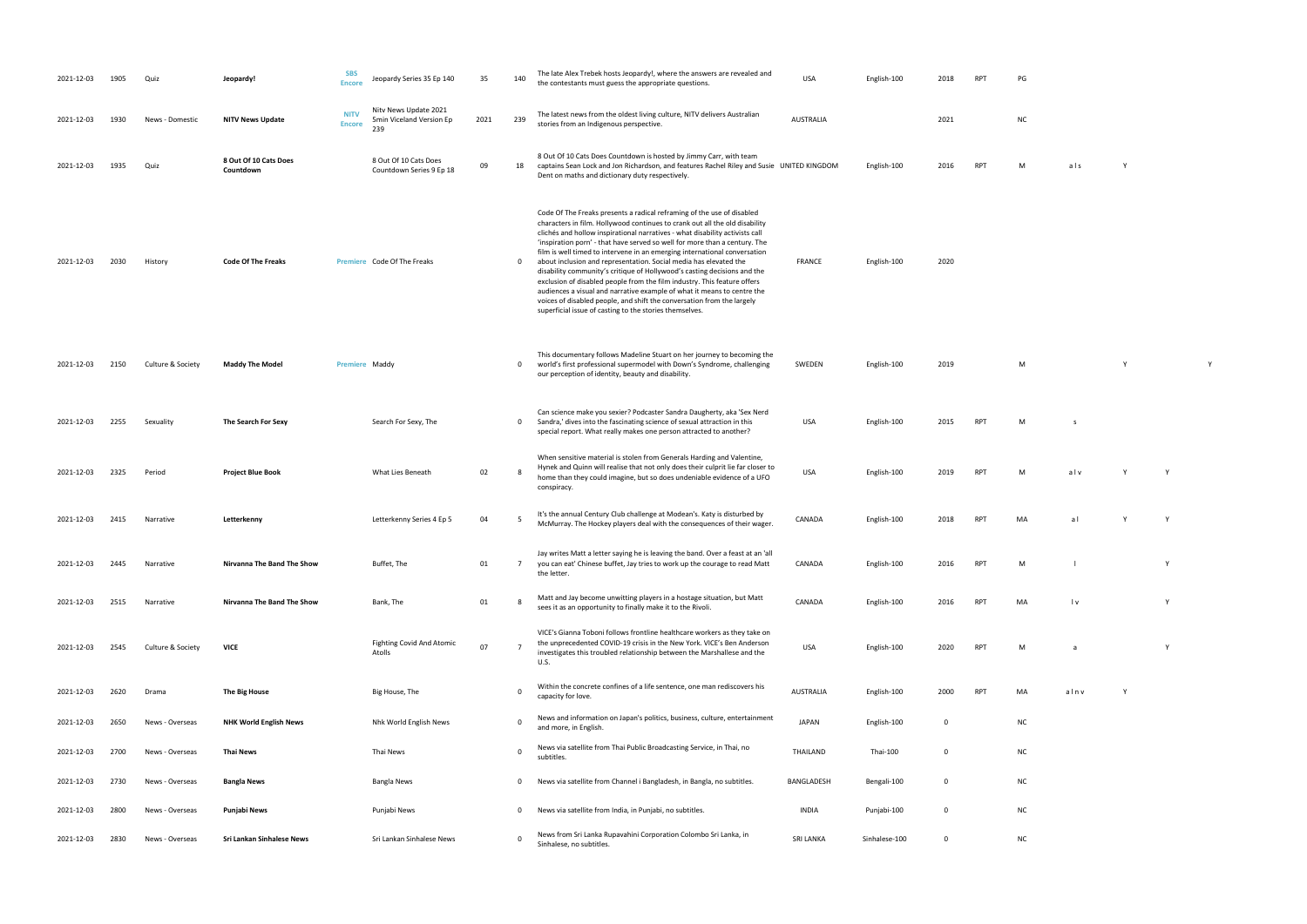| <b>NC</b> |  |  |  |
|-----------|--|--|--|
|           |  |  |  |

016 RPT M als Y

PET M l Y sees it as an opportunity to finally make it to the Rivoli. CANADA English-100 <sup>2016</sup> RPT MA l v Y

PT M a Y

SWEDEN English-100 2019 M Y Y

RPT M s RPT M alv Y Y

RPT MA al y Y

| 2021-12-03 | 1905 | Quiz              | Jeopardy!                          | <b>SBS</b><br><b>Encore</b>  | Jeopardy Series 35 Ep 140                                | 35   | 140            | The late Alex Trebek hosts Jeopardy!, where the answers are revealed and<br>the contestants must guess the appropriate questions.                                                                                                                                                                                                                                                                                                                                                                                                                                                                                                                                                                                                                                                                                                             | <b>USA</b>       | English-100   | 2018         | <b>RPT</b> | PG        |              |  |
|------------|------|-------------------|------------------------------------|------------------------------|----------------------------------------------------------|------|----------------|-----------------------------------------------------------------------------------------------------------------------------------------------------------------------------------------------------------------------------------------------------------------------------------------------------------------------------------------------------------------------------------------------------------------------------------------------------------------------------------------------------------------------------------------------------------------------------------------------------------------------------------------------------------------------------------------------------------------------------------------------------------------------------------------------------------------------------------------------|------------------|---------------|--------------|------------|-----------|--------------|--|
| 2021-12-03 | 1930 | News - Domestic   | <b>NITV News Update</b>            | <b>NITV</b><br><b>Encore</b> | Nity News Update 2021<br>5min Viceland Version Ep<br>239 | 2021 | 239            | The latest news from the oldest living culture, NITV delivers Australian<br>stories from an Indigenous perspective.                                                                                                                                                                                                                                                                                                                                                                                                                                                                                                                                                                                                                                                                                                                           | AUSTRALIA        |               | 2021         |            | <b>NC</b> |              |  |
| 2021-12-03 | 1935 | Quiz              | 8 Out Of 10 Cats Does<br>Countdown |                              | 8 Out Of 10 Cats Does<br>Countdown Series 9 Ep 18        | 09   | 18             | 8 Out Of 10 Cats Does Countdown is hosted by Jimmy Carr, with team<br>captains Sean Lock and Jon Richardson, and features Rachel Riley and Susie UNITED KINGDOM<br>Dent on maths and dictionary duty respectively.                                                                                                                                                                                                                                                                                                                                                                                                                                                                                                                                                                                                                            |                  | English-100   | 2016         | <b>RPT</b> | M         | als          |  |
| 2021-12-03 | 2030 | History           | <b>Code Of The Freaks</b>          |                              | Premiere Code Of The Freaks                              |      | 0              | Code Of The Freaks presents a radical reframing of the use of disabled<br>characters in film. Hollywood continues to crank out all the old disability<br>clichés and hollow inspirational narratives - what disability activists call<br>'inspiration porn' - that have served so well for more than a century. The<br>film is well timed to intervene in an emerging international conversation<br>about inclusion and representation. Social media has elevated the<br>disability community's critique of Hollywood's casting decisions and the<br>exclusion of disabled people from the film industry. This feature offers<br>audiences a visual and narrative example of what it means to centre the<br>voices of disabled people, and shift the conversation from the largely<br>superficial issue of casting to the stories themselves. | <b>FRANCE</b>    | English-100   | 2020         |            |           |              |  |
| 2021-12-03 | 2150 | Culture & Society | <b>Maddy The Model</b>             |                              | Premiere Maddy                                           |      | $\mathbf 0$    | This documentary follows Madeline Stuart on her journey to becoming the<br>world's first professional supermodel with Down's Syndrome, challenging<br>our perception of identity, beauty and disability.                                                                                                                                                                                                                                                                                                                                                                                                                                                                                                                                                                                                                                      | SWEDEN           | English-100   | 2019         |            | M         |              |  |
| 2021-12-03 | 2255 | Sexuality         | The Search For Sexy                |                              | Search For Sexy, The                                     |      | $\mathbf 0$    | Can science make you sexier? Podcaster Sandra Daugherty, aka 'Sex Nerd<br>Sandra,' dives into the fascinating science of sexual attraction in this<br>special report. What really makes one person attracted to another?                                                                                                                                                                                                                                                                                                                                                                                                                                                                                                                                                                                                                      | <b>USA</b>       | English-100   | 2015         | <b>RPT</b> | M         | <sub>S</sub> |  |
| 2021-12-03 | 2325 | Period            | <b>Project Blue Book</b>           |                              | What Lies Beneath                                        | 02   | 8              | When sensitive material is stolen from Generals Harding and Valentine,<br>Hynek and Quinn will realise that not only does their culprit lie far closer to<br>home than they could imagine, but so does undeniable evidence of a UFO<br>conspiracy.                                                                                                                                                                                                                                                                                                                                                                                                                                                                                                                                                                                            | USA              | English-100   | 2019         | <b>RPT</b> | M         | alv          |  |
| 2021-12-03 | 2415 | Narrative         | Letterkenny                        |                              | Letterkenny Series 4 Ep 5                                | 04   | -5             | It's the annual Century Club challenge at Modean's. Katy is disturbed by<br>McMurray. The Hockey players deal with the consequences of their wager.                                                                                                                                                                                                                                                                                                                                                                                                                                                                                                                                                                                                                                                                                           | CANADA           | English-100   | 2018         | RPT        | MA        | a l          |  |
| 2021-12-03 | 2445 | Narrative         | Nirvanna The Band The Show         |                              | Buffet, The                                              | 01   |                | Jay writes Matt a letter saying he is leaving the band. Over a feast at an 'all<br>you can eat' Chinese buffet, Jay tries to work up the courage to read Matt<br>the letter.                                                                                                                                                                                                                                                                                                                                                                                                                                                                                                                                                                                                                                                                  | CANADA           | English-100   | 2016         | <b>RPT</b> | M         |              |  |
| 2021-12-03 | 2515 | Narrative         | Nirvanna The Band The Show         |                              | Bank, The                                                | 01   | 8              | Matt and Jay become unwitting players in a hostage situation, but Matt<br>sees it as an opportunity to finally make it to the Rivoli.                                                                                                                                                                                                                                                                                                                                                                                                                                                                                                                                                                                                                                                                                                         | CANADA           | English-100   | 2016         | <b>RPT</b> | MA        | l v          |  |
| 2021-12-03 | 2545 | Culture & Society | <b>VICE</b>                        |                              | Fighting Covid And Atomic<br>Atolls                      | 07   | $\overline{7}$ | VICE's Gianna Toboni follows frontline healthcare workers as they take on<br>the unprecedented COVID-19 crisis in the New York. VICE's Ben Anderson<br>investigates this troubled relationship between the Marshallese and the<br>U.S.                                                                                                                                                                                                                                                                                                                                                                                                                                                                                                                                                                                                        | USA              | English-100   | 2020         | <b>RPT</b> | M         | a            |  |
| 2021-12-03 | 2620 | Drama             | The Big House                      |                              | Big House, The                                           |      | 0              | Within the concrete confines of a life sentence, one man rediscovers his<br>capacity for love.                                                                                                                                                                                                                                                                                                                                                                                                                                                                                                                                                                                                                                                                                                                                                | AUSTRALIA        | English-100   | 2000         | <b>RPT</b> | MA        | alnv         |  |
| 2021-12-03 | 2650 | News - Overseas   | <b>NHK World English News</b>      |                              | Nhk World English News                                   |      | 0              | News and information on Japan's politics, business, culture, entertainment<br>and more, in English.                                                                                                                                                                                                                                                                                                                                                                                                                                                                                                                                                                                                                                                                                                                                           | <b>JAPAN</b>     | English-100   | $\mathbf{0}$ |            | <b>NC</b> |              |  |
| 2021-12-03 | 2700 | News - Overseas   | <b>Thai News</b>                   |                              | Thai News                                                |      | 0              | News via satellite from Thai Public Broadcasting Service, in Thai, no<br>subtitles.                                                                                                                                                                                                                                                                                                                                                                                                                                                                                                                                                                                                                                                                                                                                                           | THAILAND         | Thai-100      | $\mathbf{0}$ |            | <b>NC</b> |              |  |
| 2021-12-03 | 2730 | News - Overseas   | <b>Bangla News</b>                 |                              | Bangla News                                              |      | 0              | News via satellite from Channel i Bangladesh, in Bangla, no subtitles.                                                                                                                                                                                                                                                                                                                                                                                                                                                                                                                                                                                                                                                                                                                                                                        | BANGLADESH       | Bengali-100   | $\mathbf{0}$ |            | <b>NC</b> |              |  |
| 2021-12-03 | 2800 | News - Overseas   | Punjabi News                       |                              | Punjabi News                                             |      | $\mathbf 0$    | News via satellite from India, in Punjabi, no subtitles.                                                                                                                                                                                                                                                                                                                                                                                                                                                                                                                                                                                                                                                                                                                                                                                      | <b>INDIA</b>     | Punjabi-100   | $\mathbf{0}$ |            | <b>NC</b> |              |  |
| 2021-12-03 | 2830 | News - Overseas   | Sri Lankan Sinhalese News          |                              | Sri Lankan Sinhalese News                                |      | 0              | News from Sri Lanka Rupavahini Corporation Colombo Sri Lanka, in<br>Sinhalese, no subtitles.                                                                                                                                                                                                                                                                                                                                                                                                                                                                                                                                                                                                                                                                                                                                                  | <b>SRI LANKA</b> | Sinhalese-100 | $\mathbf{0}$ |            | <b>NC</b> |              |  |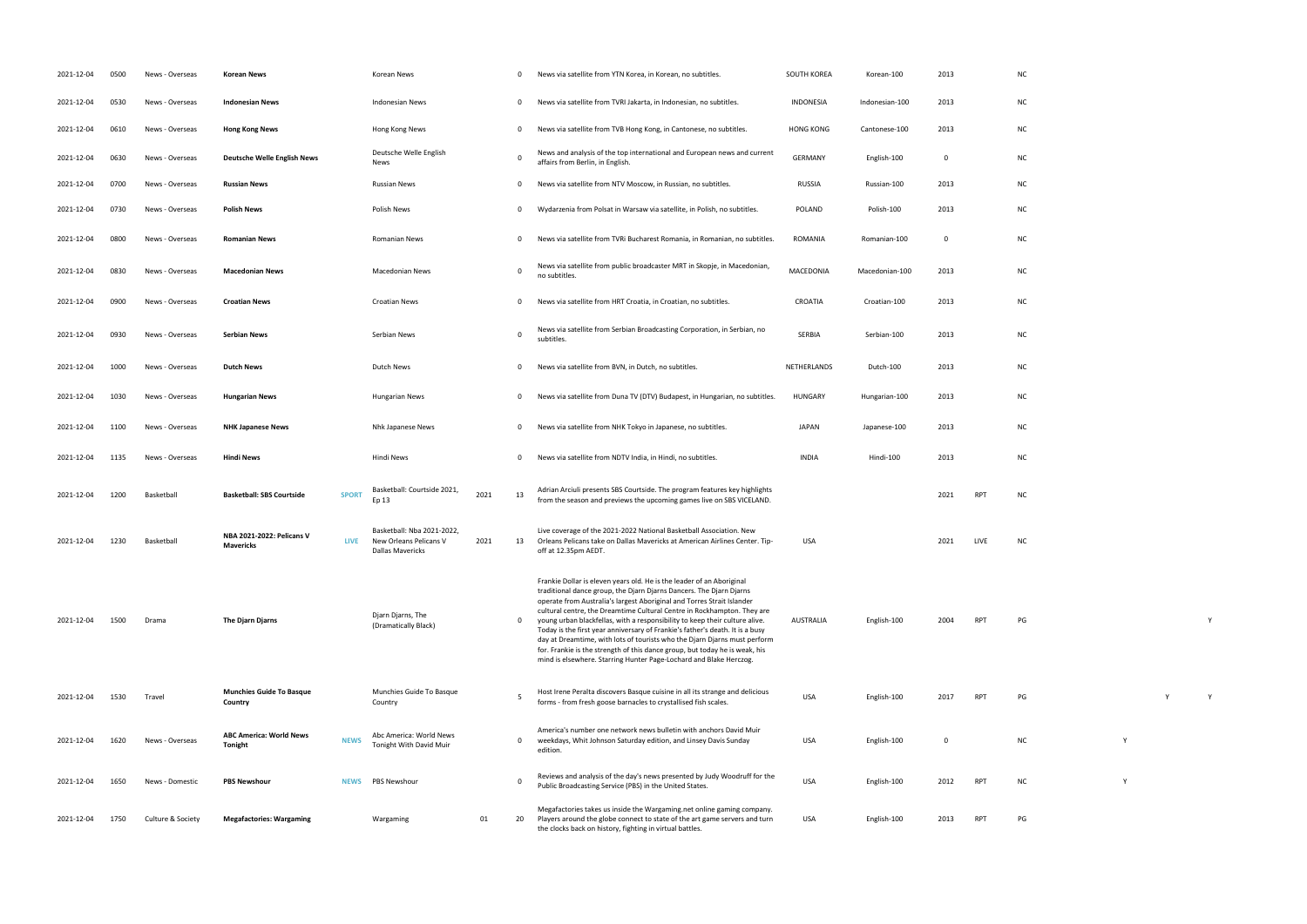| 2021-12-04 | 0500 | News - Overseas   | Korean News                                   |              | Korean News                                                                     |      | 0            | News via satellite from YTN Korea, in Korean, no subtitles.                                                                                                                                                                                                                                                                                                                                                                                                                                                                                                                                                                                                                                         | SOUTH KOREA      | Korean-100     | 2013 |            | <b>NC</b> |  |
|------------|------|-------------------|-----------------------------------------------|--------------|---------------------------------------------------------------------------------|------|--------------|-----------------------------------------------------------------------------------------------------------------------------------------------------------------------------------------------------------------------------------------------------------------------------------------------------------------------------------------------------------------------------------------------------------------------------------------------------------------------------------------------------------------------------------------------------------------------------------------------------------------------------------------------------------------------------------------------------|------------------|----------------|------|------------|-----------|--|
| 2021-12-04 | 0530 | News - Overseas   | <b>Indonesian News</b>                        |              | <b>Indonesian News</b>                                                          |      | 0            | News via satellite from TVRI Jakarta, in Indonesian, no subtitles.                                                                                                                                                                                                                                                                                                                                                                                                                                                                                                                                                                                                                                  | <b>INDONESIA</b> | Indonesian-100 | 2013 |            | <b>NC</b> |  |
| 2021-12-04 | 0610 | News - Overseas   | <b>Hong Kong News</b>                         |              | Hong Kong News                                                                  |      | 0            | News via satellite from TVB Hong Kong, in Cantonese, no subtitles.                                                                                                                                                                                                                                                                                                                                                                                                                                                                                                                                                                                                                                  | <b>HONG KONG</b> | Cantonese-100  | 2013 |            | <b>NC</b> |  |
| 2021-12-04 | 0630 | News - Overseas   | <b>Deutsche Welle English News</b>            |              | Deutsche Welle English<br>News                                                  |      | $\Omega$     | News and analysis of the top international and European news and current<br>affairs from Berlin, in English.                                                                                                                                                                                                                                                                                                                                                                                                                                                                                                                                                                                        | <b>GERMANY</b>   | English-100    | 0    |            | <b>NC</b> |  |
| 2021-12-04 | 0700 | News - Overseas   | <b>Russian News</b>                           |              | <b>Russian News</b>                                                             |      | 0            | News via satellite from NTV Moscow, in Russian, no subtitles.                                                                                                                                                                                                                                                                                                                                                                                                                                                                                                                                                                                                                                       | <b>RUSSIA</b>    | Russian-100    | 2013 |            | <b>NC</b> |  |
| 2021-12-04 | 0730 | News - Overseas   | <b>Polish News</b>                            |              | Polish News                                                                     |      | 0            | Wydarzenia from Polsat in Warsaw via satellite, in Polish, no subtitles.                                                                                                                                                                                                                                                                                                                                                                                                                                                                                                                                                                                                                            | <b>POLAND</b>    | Polish-100     | 2013 |            | <b>NC</b> |  |
| 2021-12-04 | 0800 | News - Overseas   | <b>Romanian News</b>                          |              | Romanian News                                                                   |      | 0            | News via satellite from TVRi Bucharest Romania, in Romanian, no subtitles.                                                                                                                                                                                                                                                                                                                                                                                                                                                                                                                                                                                                                          | ROMANIA          | Romanian-100   | 0    |            | <b>NC</b> |  |
| 2021-12-04 | 0830 | News - Overseas   | <b>Macedonian News</b>                        |              | <b>Macedonian News</b>                                                          |      | 0            | News via satellite from public broadcaster MRT in Skopje, in Macedonian,<br>no subtitles.                                                                                                                                                                                                                                                                                                                                                                                                                                                                                                                                                                                                           | MACEDONIA        | Macedonian-100 | 2013 |            | <b>NC</b> |  |
| 2021-12-04 | 0900 | News - Overseas   | <b>Croatian News</b>                          |              | <b>Croatian News</b>                                                            |      | 0            | News via satellite from HRT Croatia, in Croatian, no subtitles.                                                                                                                                                                                                                                                                                                                                                                                                                                                                                                                                                                                                                                     | <b>CROATIA</b>   | Croatian-100   | 2013 |            | <b>NC</b> |  |
| 2021-12-04 | 0930 | News - Overseas   | <b>Serbian News</b>                           |              | Serbian News                                                                    |      | 0            | News via satellite from Serbian Broadcasting Corporation, in Serbian, no<br>subtitles.                                                                                                                                                                                                                                                                                                                                                                                                                                                                                                                                                                                                              | SERBIA           | Serbian-100    | 2013 |            | <b>NC</b> |  |
| 2021-12-04 | 1000 | News - Overseas   | <b>Dutch News</b>                             |              | Dutch News                                                                      |      | <sup>0</sup> | News via satellite from BVN, in Dutch, no subtitles.                                                                                                                                                                                                                                                                                                                                                                                                                                                                                                                                                                                                                                                | NETHERLANDS      | Dutch-100      | 2013 |            | <b>NC</b> |  |
| 2021-12-04 | 1030 | News - Overseas   | <b>Hungarian News</b>                         |              | Hungarian News                                                                  |      | 0            | News via satellite from Duna TV (DTV) Budapest, in Hungarian, no subtitles.                                                                                                                                                                                                                                                                                                                                                                                                                                                                                                                                                                                                                         | <b>HUNGARY</b>   | Hungarian-100  | 2013 |            | <b>NC</b> |  |
| 2021-12-04 | 1100 | News - Overseas   | <b>NHK Japanese News</b>                      |              | Nhk Japanese News                                                               |      | 0            | News via satellite from NHK Tokyo in Japanese, no subtitles.                                                                                                                                                                                                                                                                                                                                                                                                                                                                                                                                                                                                                                        | <b>JAPAN</b>     | Japanese-100   | 2013 |            | <b>NC</b> |  |
| 2021-12-04 | 1135 | News - Overseas   | Hindi News                                    |              | Hindi News                                                                      |      | $\Omega$     | News via satellite from NDTV India, in Hindi, no subtitles.                                                                                                                                                                                                                                                                                                                                                                                                                                                                                                                                                                                                                                         | <b>INDIA</b>     | Hindi-100      | 2013 |            | <b>NC</b> |  |
| 2021-12-04 | 1200 | Basketball        | <b>Basketball: SBS Courtside</b>              | <b>SPORT</b> | Basketball: Courtside 2021,<br>Ep 13                                            | 2021 | 13           | Adrian Arciuli presents SBS Courtside. The program features key highlights<br>from the season and previews the upcoming games live on SBS VICELAND.                                                                                                                                                                                                                                                                                                                                                                                                                                                                                                                                                 |                  |                | 2021 | <b>RPT</b> | <b>NC</b> |  |
| 2021-12-04 | 1230 | Basketball        | NBA 2021-2022: Pelicans V<br><b>Mavericks</b> | LIVE         | Basketball: Nba 2021-2022,<br>New Orleans Pelicans V<br><b>Dallas Mavericks</b> | 2021 | 13           | Live coverage of the 2021-2022 National Basketball Association. New<br>Orleans Pelicans take on Dallas Mavericks at American Airlines Center. Tip-<br>off at 12.35pm AEDT.                                                                                                                                                                                                                                                                                                                                                                                                                                                                                                                          | <b>USA</b>       |                | 2021 | LIVE       | <b>NC</b> |  |
| 2021-12-04 | 1500 | Drama             | The Djarn Djarns                              |              | Djarn Djarns, The<br>(Dramatically Black)                                       |      | 0            | Frankie Dollar is eleven years old. He is the leader of an Aboriginal<br>traditional dance group, the Djarn Djarns Dancers. The Djarn Djarns<br>operate from Australia's largest Aboriginal and Torres Strait Islander<br>cultural centre, the Dreamtime Cultural Centre in Rockhampton. They are<br>young urban blackfellas, with a responsibility to keep their culture alive.<br>Today is the first year anniversary of Frankie's father's death. It is a busy<br>day at Dreamtime, with lots of tourists who the Djarn Djarns must perform<br>for. Frankie is the strength of this dance group, but today he is weak, his<br>mind is elsewhere. Starring Hunter Page-Lochard and Blake Herczog. | AUSTRALIA        | English-100    | 2004 | <b>RPT</b> | PG        |  |
| 2021-12-04 | 1530 | Travel            | <b>Munchies Guide To Basque</b><br>Country    |              | Munchies Guide To Basque<br>Country                                             |      | 5            | Host Irene Peralta discovers Basque cuisine in all its strange and delicious<br>forms - from fresh goose barnacles to crystallised fish scales.                                                                                                                                                                                                                                                                                                                                                                                                                                                                                                                                                     | <b>USA</b>       | English-100    | 2017 | <b>RPT</b> | PG        |  |
| 2021-12-04 | 1620 | News - Overseas   | <b>ABC America: World News</b><br>Tonight     | <b>NEWS</b>  | Abc America: World News<br>Tonight With David Muir                              |      | 0            | America's number one network news bulletin with anchors David Muir<br>weekdays, Whit Johnson Saturday edition, and Linsey Davis Sunday<br>edition.                                                                                                                                                                                                                                                                                                                                                                                                                                                                                                                                                  | <b>USA</b>       | English-100    | 0    |            | <b>NC</b> |  |
| 2021-12-04 | 1650 | News - Domestic   | <b>PBS Newshour</b>                           | <b>NEWS</b>  | <b>PBS Newshour</b>                                                             |      | $\Omega$     | Reviews and analysis of the day's news presented by Judy Woodruff for the<br>Public Broadcasting Service (PBS) in the United States.                                                                                                                                                                                                                                                                                                                                                                                                                                                                                                                                                                | USA              | English-100    | 2012 | <b>RPT</b> | <b>NC</b> |  |
| 2021-12-04 | 1750 | Culture & Society | <b>Megafactories: Wargaming</b>               |              | Wargaming                                                                       | 01   | 20           | Megafactories takes us inside the Wargaming.net online gaming company.<br>Players around the globe connect to state of the art game servers and turn<br>the clocks back on history, fighting in virtual battles.                                                                                                                                                                                                                                                                                                                                                                                                                                                                                    | USA              | English-100    | 2013 | <b>RPT</b> | PG        |  |

|              | NC            |   |   |             |  |
|--------------|---------------|---|---|-------------|--|
|              | NC            |   |   |             |  |
|              | NC            |   |   |             |  |
|              | $\sf NC$      |   |   |             |  |
|              | NC            |   |   |             |  |
|              | $NC$          |   |   |             |  |
|              | $NC$          |   |   |             |  |
|              | $\sf NC$      |   |   |             |  |
|              | ${\sf NC}$    |   |   |             |  |
|              | $\sf NC$      |   |   |             |  |
|              | NC            |   |   |             |  |
|              | NC            |   |   |             |  |
|              | $\sf NC$      |   |   |             |  |
|              | $NC$          |   |   |             |  |
| RPT          | NC            |   |   |             |  |
| ${\sf LIVE}$ | $NC$          |   |   |             |  |
|              |               |   |   |             |  |
| <b>RPT</b>   | PG            |   |   | $\mathsf Y$ |  |
|              |               |   |   |             |  |
|              |               |   |   |             |  |
| RPT          | $\mathsf{PG}$ |   | Y | $\mathsf Y$ |  |
|              | NC            | Y |   |             |  |
|              |               |   |   |             |  |
| RPT          | $\sf NC$      | Y |   |             |  |
| RPT          | $\mathsf{PG}$ |   |   |             |  |